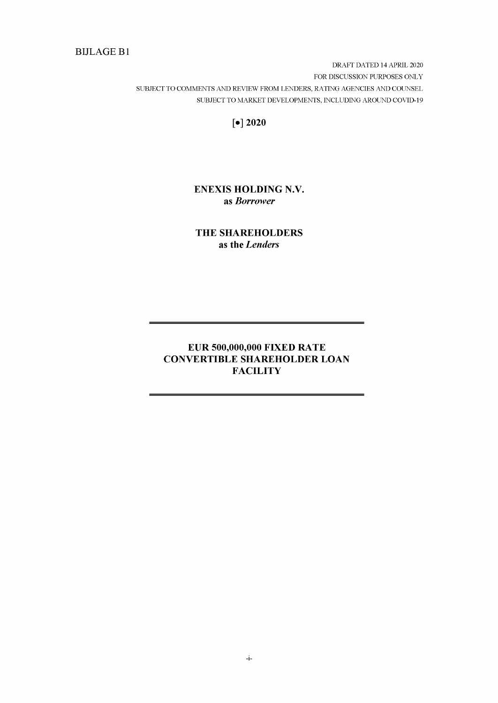# BIJLAGE B1

DRAFT DATED 14 APRIL 2020 FOR DISCUSSION PURPOSES ONLY SUBJECT TO COMMENTS AND REVIEW FROM LENDERS, RATING AGENCIES AND COUNSEL SUBJECT TO MARKET DEVELOPMENTS, INCLUDING AROUND COVID-19

**[•] 2020**

# **ENEXIS HOLDING N.V. as** *Borrower*

**THE SHAREHOLDERS as the** *Lenders*

# **EUR 500,000,000 FIXED RATE CONVERTIBLE SHAREHOLDER LOAN FACILITY**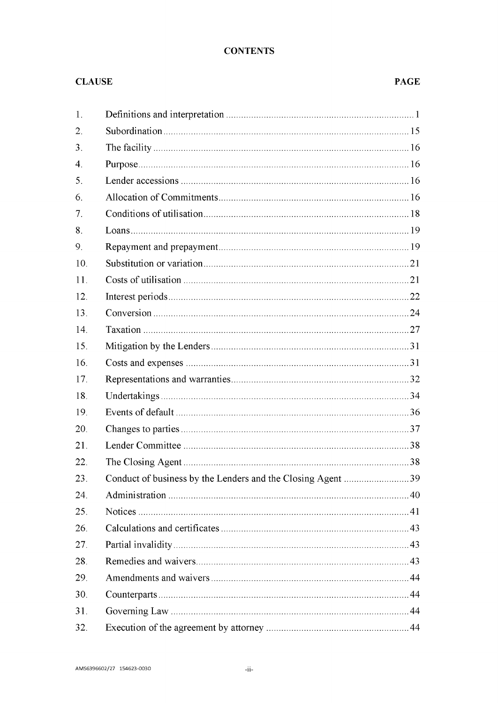# **CONTENTS**

# **CLAUSE**

# **PAGE**

| 1.                    |                                                             |
|-----------------------|-------------------------------------------------------------|
| 2.                    |                                                             |
| 3.                    |                                                             |
| $\mathcal{A}_{\cdot}$ |                                                             |
| 5.                    |                                                             |
| 6.                    |                                                             |
| 7.                    |                                                             |
| 8.                    |                                                             |
| 9.                    |                                                             |
| 10.                   |                                                             |
| 11.                   |                                                             |
| 12.                   |                                                             |
| 13.                   |                                                             |
| 14.                   |                                                             |
| 15.                   |                                                             |
| 16.                   |                                                             |
| 17.                   |                                                             |
| 18.                   |                                                             |
| 19.                   |                                                             |
| 20.                   |                                                             |
| 21.                   |                                                             |
| 22.                   |                                                             |
| 23.                   | Conduct of business by the Lenders and the Closing Agent 39 |
| 24.                   |                                                             |
| 25.                   |                                                             |
| 26.                   |                                                             |
| 27.                   |                                                             |
| 28.                   |                                                             |
| 29.                   |                                                             |
| 30.                   |                                                             |
| 31.                   |                                                             |
| 32.                   |                                                             |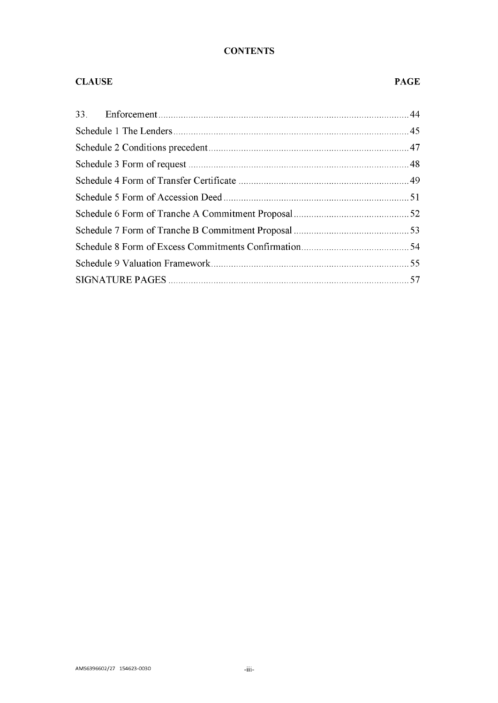# **CONTENTS**

# **CLAUSE PAGE**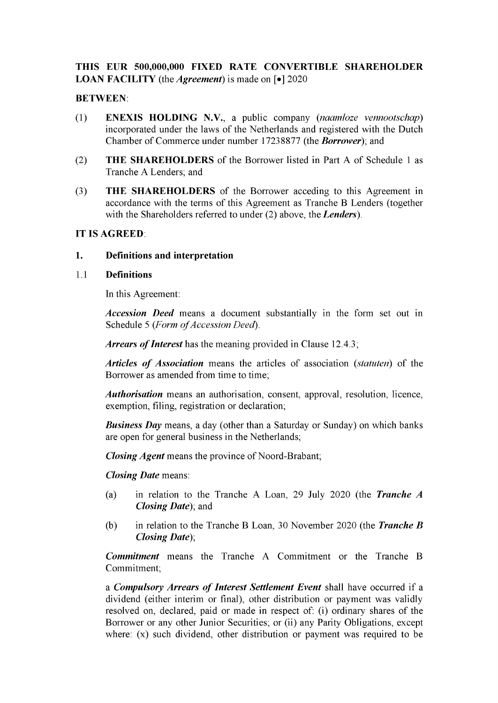# THIS EUR 500,000,000 FIXED RATE CONVERTIBLE SHAREHOLDER **LOAN FACILITY** (the *Agreement*) is made on [ $\bullet$ ] 2020

# BETWEEN:

- (1) ENEXIS HOLDING N.V., a public company *(naamloze vennootschap)* incorporated under the laws of the Netherlands and registered with the Dutch Chamber of Commerce under number 17238877 (the *Borrower*); and
- (2) THE SHAREHOLDERS of the Borrower listed in [Part](#page-47-0) A of [Schedule](#page-47-1) <sup>1</sup> as Tranche A Lenders; and
- (3) THE SHAREHOLDERS of the Borrower acceding to this Agreement in accordance with the terms of this Agreement as Tranche B Lenders (together with the Shareholders referred to under (2) above, the *Lenders).*

# IT IS AGREED:

# 1. Definitions and interpretation

# 1.1 Definitions

In this Agreement:

*Accession Deed* means a document substantially in the form set out in [Schedule](#page-53-0) 5 (Form of Accession Deed).

Arrears of Interest has the meaning provided in Clause [12.4.3;](#page-25-0)

*Articles of Association* means the articles of association *(statuten)* of the Borrower as amended from time to time;

*Authorisation* means an authorisation, consent, approval, resolution, licence, exemption, filing, registration or declaration;

*Business Day* means, a day (other than a Saturday or Sunday) on which banks are open for general business in the Netherlands;

*Closing Agent* means the province of Noord-Brabant;

*Closing Date* means:

- (a) in relation to the Tranche A Loan, 29 July 2020 (the *Tranche A Closing Date*); and
- (b) in relation to the Tranche B Loan, 30 November 2020 (the *Tranche B Closing Date*);

*Commitment* means the Tranche A Commitment or the Tranche B Commitment;

a *Compulsory Arrears of Interest Settlement Event* shall have occurred if a dividend (either interim or final), other distribution or payment was validly resolved on, declared, paid or made in respect of: (i) ordinary shares of the Borrower or any other Junior Securities; or (ii) any Parity Obligations, except where: (x) such dividend, other distribution or payment was required to be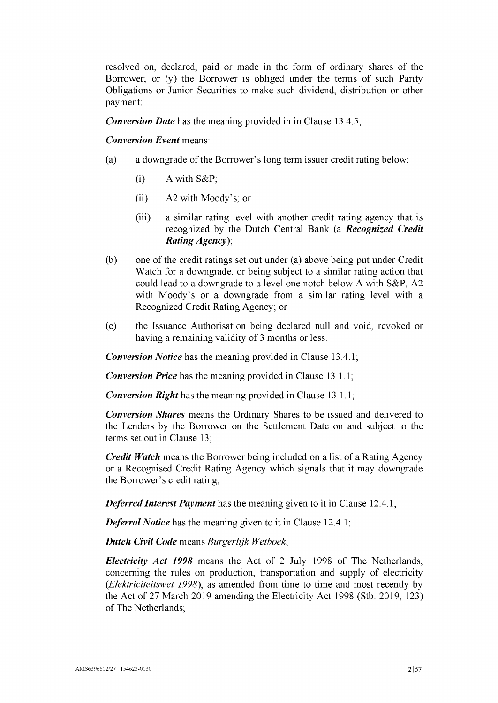resolved on, declared, paid or made in the form of ordinary shares of the Borrower; or (y) the Borrower is obliged under the terms of such Parity Obligations or Junior Securities to make such dividend, distribution or other payment;

*Conversion Date* has the meaning provided in in Clause [13.4.5;](#page-28-0)

## *Conversion Event* means:

- (a) a downgrade of the Borrower's long term issuer credit rating below:
	- $(i)$  A with  $S\&P$ ;
	- (ii) A2 with Moody's; or
	- (iii) a similar rating level with another credit rating agency that is recognized by the Dutch Central Bank (a *Recognized Credit Rating Agency);*
- (b) one ofthe credit ratings set out under (a) above being put under Credit Watch for a downgrade, or being subject to a similar rating action that could lead to a downgrade to a level one notch below A with S&P, A2 with Moody's or a downgrade from a similar rating level with a Recognized Credit Rating Agency; or
- (c) the Issuance Authorisation being declared null and void, revoked or having a remaining validity of <sup>3</sup> months or less.

*Conversion Notice* has the meaning provided in Clause [13.4.1;](#page-28-1)

*Conversion Price* has the meaning provided in Clause [13.1.1;](#page-26-1)

*Conversion Right* has the meaning provided in Clause [13.1.1;](#page-26-1)

*Conversion Shares* means the Ordinary Shares to be issued and delivered to the Lenders by the Borrower on the Settlement Date on and subject to the terms set out in Clause [13;](#page-26-0)

*Credit Watch* means the Borrower being included on a list of a Rating Agency or a Recognised Credit Rating Agency which signals that it may downgrade the Borrower's credit rating;

*Deferred Interest Payment* has the meaning given to it in Clause [12.4.1;](#page-25-1)

*Deferral Notice* has the meaning given to it in Clause [12.4.1;](#page-25-1)

*Dutch Civil Code* means *Burgerlijk Wetboek;*

*Electricity Act 1998* means the Act of 2 July 1998 of The Netherlands, concerning the rules on production, transportation and supply of electricity *(Elektriciteitswet 1998),* as amended from time to time and most recently by the Act of 27 March 2019 amending the Electricity Act 1998 (Stb. 2019, 123) of The Netherlands;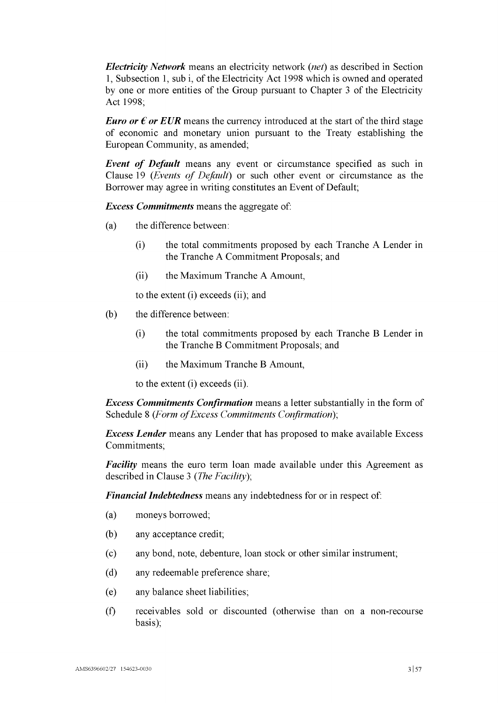*Electricity Network* means an electricity network *(net)* as described in Section 1, Subsection 1, sub i, of the Electricity Act 1998 which is owned and operated by one or more entities of the Group pursuant to Chapter <sup>3</sup> of the Electricity Act 1998;

*Euro or*  $\epsilon$  *or EUR* means the currency introduced at the start of the third stage of economic and monetary union pursuant to the Treaty establishing the European Community, as amended;

*Event of Default* means any event or circumstance specified as such in Clause [19](#page-38-0) *(Events of Default)* or such other event or circumstance as the Borrower may agree in writing constitutes an Event of Default;

*Excess Commitments* means the aggregate of:

- (a) the difference between:
	- (i) the total commitments proposed by each Tranche A Lender in the Tranche A Commitment Proposals; and
	- (ii) the Maximum Tranche A Amount,

to the extent (i) exceeds (ii); and

- (b) the difference between:
	- (i) the total commitments proposed by each Tranche B Lender in the Tranche B Commitment Proposals; and
	- (ii) the Maximum Tranche B Amount,

to the extent (i) exceeds (ii).

*Excess Commitments Confirmation* means a letter substantially in the form of [Schedule](#page-56-0) <sup>8</sup> *(Form ofExcess Commitments Confirmation*);

*Excess Lender* means any Lender that has proposed to make available Excess Commitments;

*Facility* means the euro term loan made available under this Agreement as described in Clause [3](#page-18-0) *(The Facility*);

<span id="page-5-0"></span>*Financial Indebtedness* means any indebtedness for or in respect of:

- (a) moneys borrowed;
- (b) any acceptance credit;
- (c) any bond, note, debenture, loan stock or other similar instrument;
- (d) any redeemable preference share;
- (e) any balance sheet liabilities;
- (f) receivables sold or discounted (otherwise than on a non-recourse basis);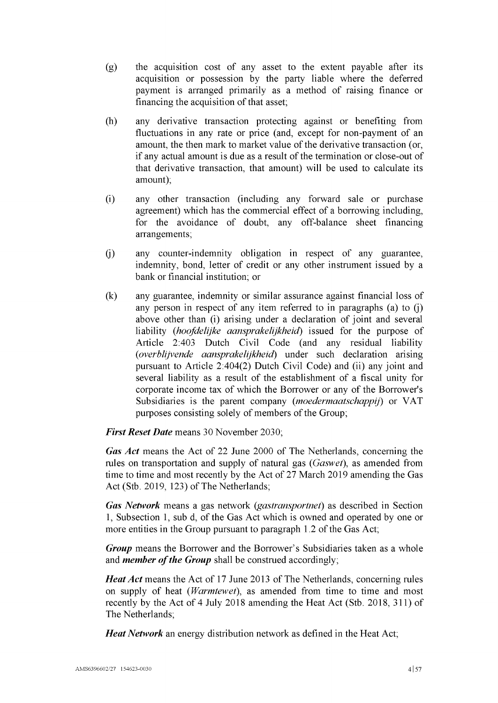- (g) the acquisition cost of any asset to the extent payable after its acquisition or possession by the party liable where the deferred payment is arranged primarily as a method of raising finance or financing the acquisition of that asset;
- (h) any derivative transaction protecting against or benefiting from fluctuations in any rate or price (and, except for non-payment of an amount, the then mark to market value of the derivative transaction (or, if any actual amount is due as a result of the termination or close-out of that derivative transaction, that amount) will be used to calculate its amount);
- (i) any other transaction (including any forward sale or purchase agreement) which has the commercial effect of a borrowing including, for the avoidance of doubt, any off-balance sheet financing arrangements;
- <span id="page-6-0"></span>(j) any counter-indemnity obligation in respect of any guarantee, indemnity, bond, letter of credit or any other instrument issued by a bank or financial institution; or
- (k) any guarantee, indemnity or similar assurance against financial loss of any person in respect of any item referred to in paragraphs [\(a\)](#page-5-0) to [\(j\)](#page-6-0) above other than (i) arising under a declaration of joint and several liability (*hoofdelijke aansprakelijkheid)* issued for the purpose of Article 2:403 Dutch Civil Code (and any residual liability *(overblijvende aansprakelijkheid)* under such declaration arising pursuant to Article 2:404(2) Dutch Civil Code) and (ii) any joint and several liability as a result of the establishment of a fiscal unity for corporate income tax of which the Borrower or any of the Borrower's Subsidiaries is the parent company *(moedermaatschappij)* or VAT purposes consisting solely of members of the Group;

*First Reset Date* means 30 November 2030;

*Gas Act* means the Act of 22 June 2000 of The Netherlands, concerning the rules on transportation and supply of natural gas (Gaswet), as amended from time to time and most recently by the Act of 27 March 2019 amending the Gas Act (Stb. 2019, 123) of The Netherlands;

*Gas Network* means a gas network *(gastransportnet*) as described in Section 1, Subsection 1, sub d, of the Gas Act which is owned and operated by one or more entities in the Group pursuant to paragraph  $1.2$  of the Gas Act;

*Group* means the Borrower and the Borrower's Subsidiaries taken as a whole and *member of the Group* shall be construed accordingly;

*Heat Act* means the Act of 17 June 2013 of The Netherlands, concerning rules on supply of heat *(Warmtewet),* as amended from time to time and most recently by the Act of 4 July 2018 amending the Heat Act (Stb. 2018, 311) of The Netherlands;

*Heat Network* an energy distribution network as defined in the Heat Act;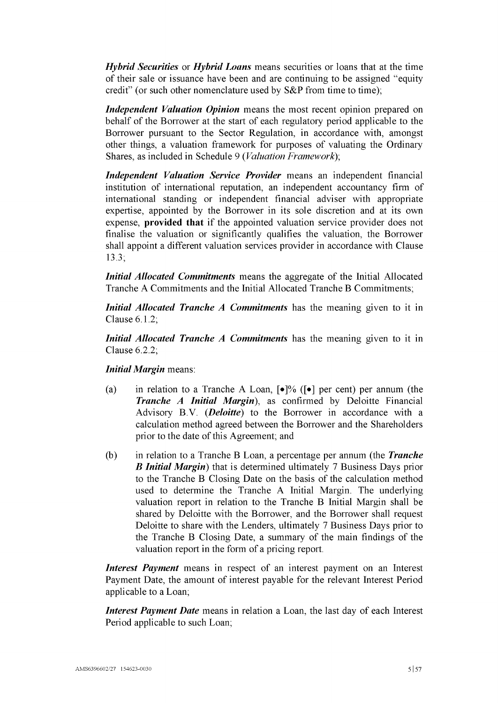*Hybrid Securities* or *Hybrid Loans* means securities or loans that at the time of their sale or issuance have been and are continuing to be assigned "equity credit" (or such other nomenclature used by S&P from time to time);

*Independent Valuation Opinion* means the most recent opinion prepared on behalf of the Borrower at the start of each regulatory period applicable to the Borrower pursuant to the Sector Regulation, in accordance with, amongst other things, a valuation framework for purposes of valuating the Ordinary Shares, as included in [Schedule](#page-57-0) 9 *(Valuation Framework*);

*Independent Valuation Service Provider* means an independent financial institution of international reputation, an independent accountancy firm of international standing or independent financial adviser with appropriate expertise, appointed by the Borrower in its sole discretion and at its own expense, **provided that** if the appointed valuation service provider does not finalise the valuation or significantly qualifies the valuation, the Borrower shall appoint a different valuation services provider in accordance with Clause [13.3;](#page-27-0)

*Initial Allocated Commitments* means the aggregate of the Initial Allocated Tranche A Commitments and the Initial Allocated Tranche B Commitments;

*Initial Allocated Tranche A Commitments* has the meaning given to it in Clause [6.1.2;](#page-19-0)

*Initial Allocated Tranche A Commitments* has the meaning given to it in Clause [6.2.2;](#page-19-1)

*Initial Margin* means:

- (a) in relation to a Tranche A Loan,  $\lceil \cdot \rceil\%$  ( $\lceil \cdot \rceil$ ) per cent) per annum (the *Tranche A Initial Margin*), as confirmed by Deloitte Financial Advisory B.V. *(Deloitte)* to the Borrower in accordance with a calculation method agreed between the Borrower and the Shareholders prior to the date of this Agreement; and
- (b) in relation to a Tranche B Loan, a percentage per annum (the *Tranche B Initial Margin)* that is determined ultimately 7 Business Days prior to the Tranche B Closing Date on the basis of the calculation method used to determine the Tranche A Initial Margin. The underlying valuation report in relation to the Tranche B Initial Margin shall be shared by Deloitte with the Borrower, and the Borrower shall request Deloitte to share with the Lenders, ultimately 7 Business Days prior to the Tranche B Closing Date, a summary of the main findings of the valuation report in the form of a pricing report.

*Interest Payment* means in respect of an interest payment on an Interest Payment Date, the amount of interest payable for the relevant Interest Period applicable to a Loan;

*Interest Payment Date* means in relation a Loan, the last day of each Interest Period applicable to such Loan;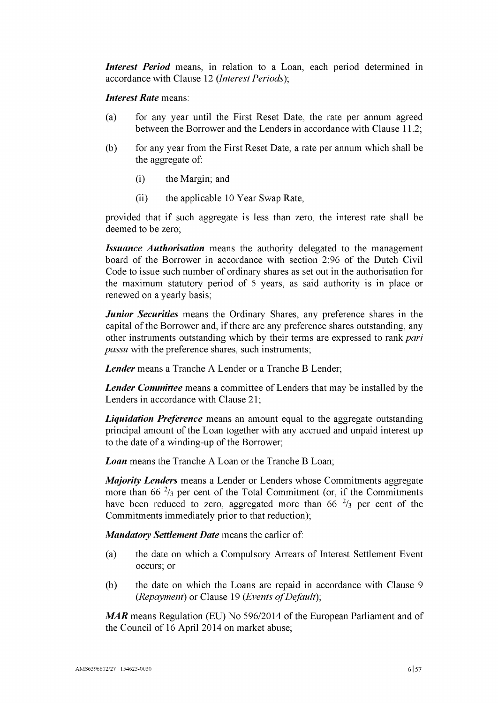*Interest Period* means, in relation to a Loan, each period determined in accordance with Clause [12](#page-24-0) *(Interest Periods*);

#### *Interest Rate* means:

- (a) for any year until the First Reset Date, the rate per annum agreed between the Borrower and the Lenders in accordance with Clause [11.2;](#page-23-0)
- (b) for any year from the First Reset Date, a rate per annum which shall be the aggregate of:
	- (i) the Margin; and
	- (ii) the applicable 10 Year Swap Rate,

provided that if such aggregate is less than zero, the interest rate shall be deemed to be zero;

*Issuance Authorisation* means the authority delegated to the management board of the Borrower in accordance with section 2:96 of the Dutch Civil Code to issue such number of ordinary shares as set out in the authorisation for the maximum statutory period of <sup>5</sup> years, as said authority is in place or renewed on a yearly basis;

*Junior Securities* means the Ordinary Shares, any preference shares in the capital of the Borrower and, if there are any preference shares outstanding, any other instruments outstanding which by their terms are expressed to rank *pari passu* with the preference shares, such instruments;

*Lender* means a Tranche A Lender or a Tranche B Lender;

*Lender Committee* means a committee of Lenders that may be installed by the Lenders in accordance with Clause [21;](#page-40-0)

*Liquidation Preference* means an amount equal to the aggregate outstanding principal amount of the Loan together with any accrued and unpaid interest up to the date of a winding-up of the Borrower;

*Loan* means the Tranche A Loan or the Tranche B Loan;

*Majority Lenders* means a Lender or Lenders whose Commitments aggregate more than  $66<sup>2</sup>/3$  per cent of the Total Commitment (or, if the Commitments have been reduced to zero, aggregated more than 66  $\frac{2}{3}$  per cent of the Commitments immediately prior to that reduction);

*Mandatory Settlement Date* means the earlier of:

- (a) the date on which a Compulsory Arrears of Interest Settlement Event occurs; or
- (b) the date on which the Loans are repaid in accordance with Clause [9](#page-21-0) *(Repayment)* or Clause [19](#page-38-0) *(Events of Default)*;

*MAR* means Regulation (EU) No 596/2014 of the European Parliament and of the Council of 16 April 2014 on market abuse;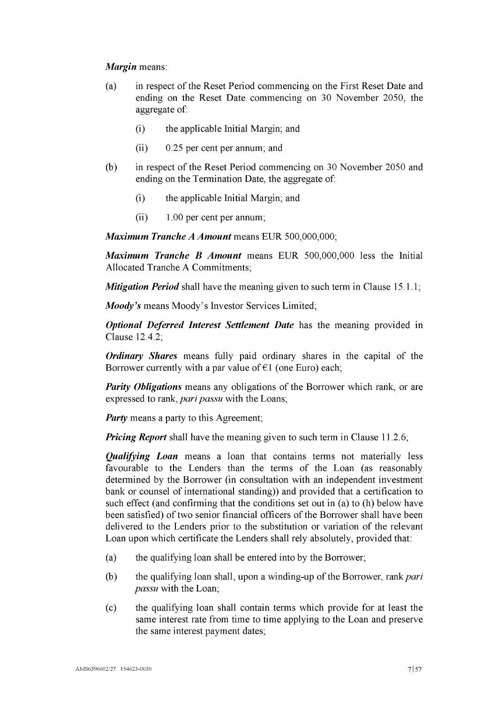# *Margin* means:

- (a) in respect of the Reset Period commencing on the First Reset Date and ending on the Reset Date commencing on 30 November 2050, the aggregate of:
	- (i) the applicable Initial Margin; and
	- (ii) 0.25 per cent per annum; and
- (b) in respect of the Reset Period commencing on 30 November 2050 and ending on the Termination Date, the aggregate of:
	- (i) the applicable Initial Margin; and
	- (ii) 1.00 per cent per annum;

*Maximum Tranche A Amount* means EUR 500,000,000;

*Maximum Tranche B Amount* means EUR 500,000,000 less the Initial Allocated Tranche A Commitments;

*Mitigation Period* shall have the meaning given to such term in Clause [15.1.1;](#page-33-0)

*Moody's* means Moody's Investor Services Limited;

*Optional Deferred Interest Settlement Date* has the meaning provided in Clause [12.4.2;](#page-25-2)

*Ordinary Shares* means fully paid ordinary shares in the capital of the Borrower currently with a par value of  $\epsilon$ 1 (one Euro) each;

*Parity Obligations* means any obligations of the Borrower which rank, or are expressed to rank, *pari passu* with the Loans;

*Party* means a party to this Agreement;

*Pricing Report* shall have the meaning given to such term in Clause [11.2.6;](#page-24-1)

*Qualifying Loan* means a loan that contains terms not materially less favourable to the Lenders than the terms of the Loan (as reasonably determined by the Borrower (in consultation with an independent investment bank or counsel of international standing)) and provided that a certification to such effect (and confirming that the conditions set out in [\(a\)](#page-9-0) to (h) below have been satisfied) of two senior financial officers of the Borrower shall have been delivered to the Lenders prior to the substitution or variation of the relevant Loan upon which certificate the Lenders shall rely absolutely, provided that:

- <span id="page-9-0"></span>(a) the qualifying loan shall be entered into by the Borrower;
- (b) the qualifying loan shall, upon a winding-up ofthe Borrower, rank*pari passu* with the Loan;
- (c) the qualifying loan shall contain terms which provide for at least the same interest rate from time to time applying to the Loan and preserve the same interest payment dates;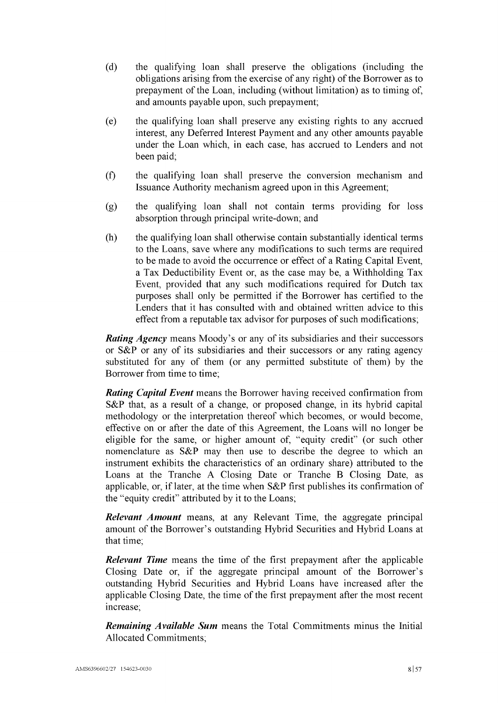- (d) the qualifying loan shall preserve the obligations (including the obligations arising from the exercise of any right) of the Borrower as to prepayment of the Loan, including (without limitation) as to timing of, and amounts payable upon, such prepayment;
- (e) the qualifying loan shall preserve any existing rights to any accrued interest, any Deferred Interest Payment and any other amounts payable under the Loan which, in each case, has accrued to Lenders and not been paid;
- (f) the qualifying loan shall preserve the conversion mechanism and Issuance Authority mechanism agreed upon in this Agreement;
- (g) the qualifying loan shall not contain terms providing for loss absorption through principal write-down; and
- (h) the qualifying loan shall otherwise contain substantially identical terms to the Loans, save where any modifications to such terms are required to be made to avoid the occurrence or effect of a Rating Capital Event, a Tax Deductibility Event or, as the case may be, a Withholding Tax Event, provided that any such modifications required for Dutch tax purposes shall only be permitted if the Borrower has certified to the Lenders that it has consulted with and obtained written advice to this effect from a reputable tax advisor for purposes of such modifications;

*Rating Agency* means Moody's or any of its subsidiaries and their successors or S&P or any of its subsidiaries and their successors or any rating agency substituted for any of them (or any permitted substitute of them) by the Borrower from time to time;

*Rating Capital Event* means the Borrower having received confirmation from S&P that, as a result of a change, or proposed change, in its hybrid capital methodology or the interpretation thereof which becomes, or would become, effective on or after the date of this Agreement, the Loans will no longer be eligible for the same, or higher amount of, "equity credit" (or such other nomenclature as S&P may then use to describe the degree to which an instrument exhibits the characteristics of an ordinary share) attributed to the Loans at the Tranche A Closing Date or Tranche B Closing Date, as applicable, or, iflater, at the time when S&P first publishes its confirmation of the "equity credit" attributed by it to the Loans;

*Relevant Amount* means, at any Relevant Time, the aggregate principal amount of the Borrower's outstanding Hybrid Securities and Hybrid Loans at that time;

*Relevant Time* means the time of the first prepayment after the applicable Closing Date or, if the aggregate principal amount of the Borrower's outstanding Hybrid Securities and Hybrid Loans have increased after the applicable Closing Date, the time of the first prepayment after the most recent increase;

*Remaining Available Sum* means the Total Commitments minus the Initial Allocated Commitments;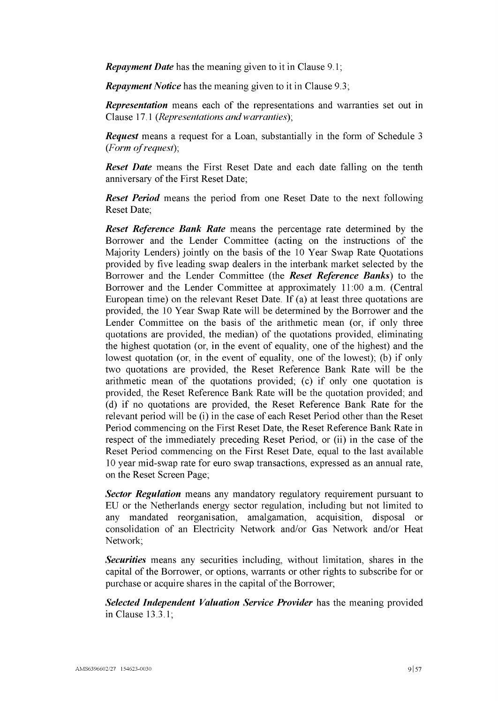*Repayment Date* has the meaning given to it in Clause [9.1;](#page-21-1)

*Repayment Notice* has the meaning given to it in Clause [9.3;](#page-21-2)

*Representation* means each of the representations and warranties set out in Clause [17.1](#page-34-0) *(Representations andwarranties*);

*Request* means a request for a Loan, substantially in the form of [Schedule](#page-50-0) <sup>3</sup> *(Form ofrequest*);

*Reset Date* means the First Reset Date and each date falling on the tenth anniversary of the First Reset Date;

*Reset Period* means the period from one Reset Date to the next following Reset Date;

*Reset Reference Bank Rate* means the percentage rate determined by the Borrower and the Lender Committee (acting on the instructions of the Majority Lenders) jointly on the basis of the 10 Year Swap Rate Quotations provided by five leading swap dealers in the interbank market selected by the Borrower and the Lender Committee (the *Reset Reference Banks*) to the Borrower and the Lender Committee at approximately 11:00 a.m. (Central European time) on the relevant Reset Date. If (a) at least three quotations are provided, the 10 Year Swap Rate will be determined by the Borrower and the Lender Committee on the basis of the arithmetic mean (or, if only three quotations are provided, the median) of the quotations provided, eliminating the highest quotation (or, in the event of equality, one of the highest) and the lowest quotation (or, in the event of equality, one of the lowest); (b) if only two quotations are provided, the Reset Reference Bank Rate will be the arithmetic mean of the quotations provided; (c) if only one quotation is provided, the Reset Reference Bank Rate will be the quotation provided; and (d) if no quotations are provided, the Reset Reference Bank Rate for the relevant period will be (i) in the case of each Reset Period other than the Reset Period commencing on the First Reset Date, the Reset Reference Bank Rate in respect of the immediately preceding Reset Period, or (ii) in the case of the Reset Period commencing on the First Reset Date, equal to the last available 10 year mid-swap rate for euro swap transactions, expressed as an annual rate, on the Reset Screen Page;

*Sector Regulation* means any mandatory regulatory requirement pursuant to EU or the Netherlands energy sector regulation, including but not limited to any mandated reorganisation, amalgamation, acquisition, disposal or consolidation of an Electricity Network and/or Gas Network and/or Heat Network;

*Securities* means any securities including, without limitation, shares in the capital of the Borrower, or options, warrants or other rights to subscribe for or purchase or acquire shares in the capital of the Borrower;

*Selected Independent Valuation Service Provider* has the meaning provided in Clause [13.3.1;](#page-27-0)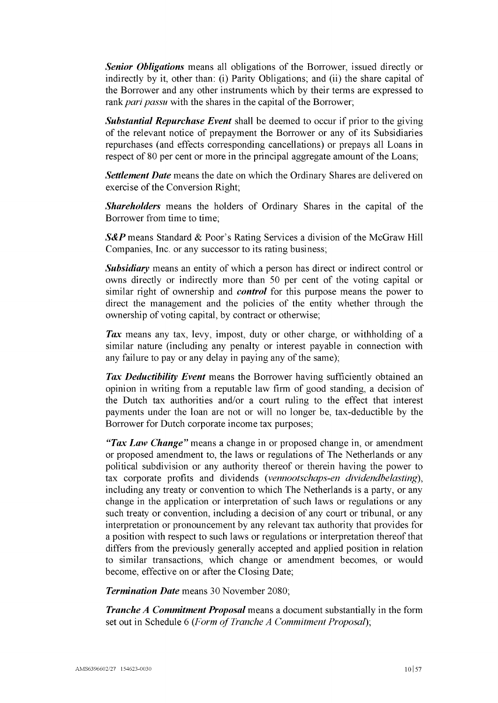*Senior Obligations* means all obligations of the Borrower, issued directly or indirectly by it, other than: (i) Parity Obligations; and (ii) the share capital of the Borrower and any other instruments which by their terms are expressed to rank *pari passu* with the shares in the capital of the Borrower;

*Substantial Repurchase Event* shall be deemed to occur if prior to the giving of the relevant notice of prepayment the Borrower or any of its Subsidiaries repurchases (and effects corresponding cancellations) or prepays all Loans in respect of 80 per cent or more in the principal aggregate amount of the Loans;

*Settlement Date* means the date on which the Ordinary Shares are delivered on exercise of the Conversion Right;

*Shareholders* means the holders of Ordinary Shares in the capital of the Borrower from time to time;

*S&P* means Standard & Poor's Rating Services a division of the McGraw Hill Companies, Inc. or any successor to its rating business;

*Subsidiary* means an entity of which a person has direct or indirect control or owns directly or indirectly more than 50 per cent of the voting capital or similar right of ownership and *control* for this purpose means the power to direct the management and the policies of the entity whether through the ownership of voting capital, by contract or otherwise;

*Tax* means any tax, levy, impost, duty or other charge, or withholding of a similar nature (including any penalty or interest payable in connection with any failure to pay or any delay in paying any of the same);

*Tax Deductibility Event* means the Borrower having sufficiently obtained an opinion in writing from a reputable law firm of good standing, a decision of the Dutch tax authorities and/or a court ruling to the effect that interest payments under the loan are not or will no longer be, tax-deductible by the Borrower for Dutch corporate income tax purposes;

*"Tax Law Change"* means a change in or proposed change in, or amendment or proposed amendment to, the laws or regulations of The Netherlands or any political subdivision or any authority thereof or therein having the power to tax corporate profits and dividends *(vennootschaps-en dividendbelasting),* including any treaty or convention to which The Netherlands is a party, or any change in the application or interpretation of such laws or regulations or any such treaty or convention, including a decision of any court or tribunal, or any interpretation or pronouncement by any relevant tax authority that provides for a position with respect to such laws or regulations or interpretation thereof that differs from the previously generally accepted and applied position in relation to similar transactions, which change or amendment becomes, or would become, effective on or after the Closing Date;

*Termination Date* means 30 November 2080;

*Tranche A Commitment Proposal* means a document substantially in the form set out in [Schedule](#page-54-0) 6 *(Form of Tranche A Commitment Proposal)*;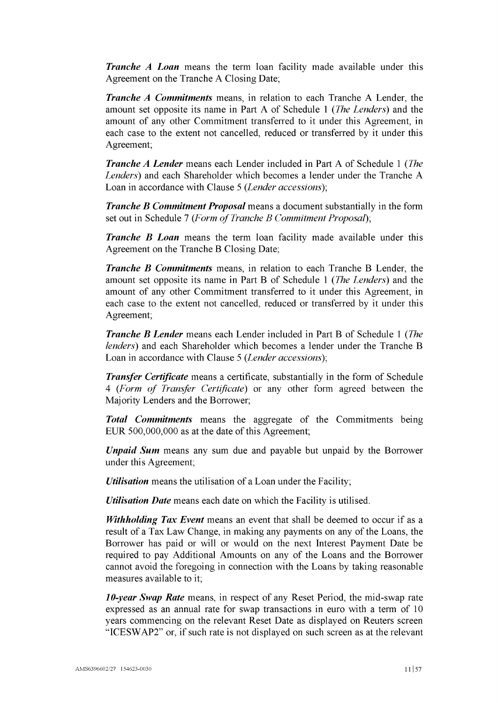*Tranche A Loan* means the term loan facility made available under this Agreement on the Tranche A Closing Date;

*Tranche A Commitments* means, in relation to each Tranche A Lender, the amount set opposite its name in [Part](#page-47-0) A of [Schedule](#page-47-1) <sup>1</sup> *(The Lenders)* and the amount of any other Commitment transferred to it under this Agreement, in each case to the extent not cancelled, reduced or transferred by it under this Agreement;

*Tranche A Lender* means each Lender included in [Part](#page-47-0) A of [Schedule](#page-47-1) <sup>1</sup> *(The Lenders)* and each Shareholder which becomes a lender under the Tranche A Loan in accordance with Clause [5](#page-18-2) *(Lender accessions);*

*Tranche B Commitment Proposal* means a document substantially in the form set out in [Schedule](#page-55-0) 7 *(Form of Tranche B Commitment Proposal)*;

*Tranche B Loan* means the term loan facility made available under this Agreement on the Tranche B Closing Date;

*Tranche B Commitments* means, in relation to each Tranche B Lender, the amount set opposite its name in [Part](#page-48-0) B of [Schedule](#page-47-1) <sup>1</sup> *(The Lenders')* and the amount of any other Commitment transferred to it under this Agreement, in each case to the extent not cancelled, reduced or transferred by it under this Agreement;

*Tranche B Lender* means each Lender included in [Part](#page-48-0) B of [Schedule](#page-47-1) <sup>1</sup> *(The lenders)* and each Shareholder which becomes a lender under the Tranche B Loan in accordance with Clause [5](#page-18-2) (*Lender accessions*);

*Transfer Certificate* means a certificate, substantially in the form of [Schedule](#page-51-0) [4](#page-51-0) *(Form of Transfer Certificate)* or any other form agreed between the Majority Lenders and the Borrower;

*Total Commitments* means the aggregate of the Commitments being EUR  $500,000,000$  as at the date of this Agreement;

*Unpaid Sum* means any sum due and payable but unpaid by the Borrower under this Agreement;

*Utilisation* means the utilisation of a Loan under the Facility;

*Utilisation Date* means each date on which the Facility is utilised.

*Withholding Tax Event* means an event that shall be deemed to occur if as a result of a Tax Law Change, in making any payments on any of the Loans, the Borrower has paid or will or would on the next Interest Payment Date be required to pay Additional Amounts on any of the Loans and the Borrower cannot avoid the foregoing in connection with the Loans by taking reasonable measures available to it;

*10-year Swap Rate* means, in respect of any Reset Period, the mid-swap rate expressed as an annual rate for swap transactions in euro with a term of 10 years commencing on the relevant Reset Date as displayed on Reuters screen "ICESWAP2" or, if such rate is not displayed on such screen as at the relevant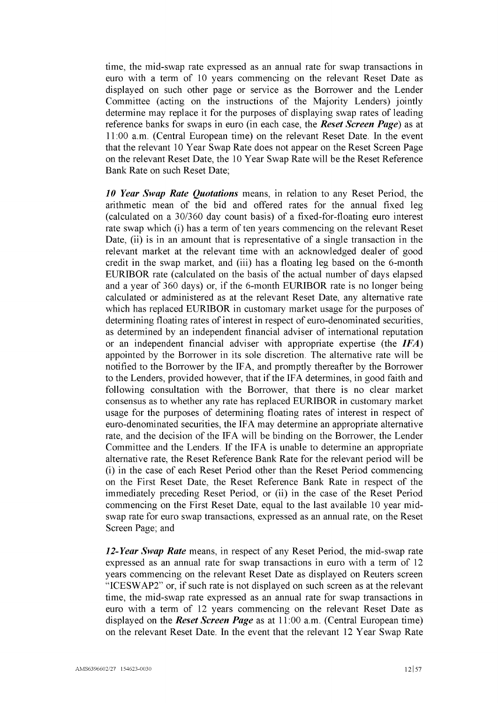time, the mid-swap rate expressed as an annual rate for swap transactions in euro with a term of 10 years commencing on the relevant Reset Date as displayed on such other page or service as the Borrower and the Lender Committee (acting on the instructions of the Majority Lenders) jointly determine may replace it for the purposes of displaying swap rates of leading reference banks for swaps in euro (in each case, the *Reset Screen Page)* as at 11:00 a.m. (Central European time) on the relevant Reset Date. In the event that the relevant 10 Year Swap Rate does not appear on the Reset Screen Page on the relevant Reset Date, the 10 Year Swap Rate will be the Reset Reference Bank Rate on such Reset Date;

*10 Year Swap Rate Quotations* means, in relation to any Reset Period, the arithmetic mean of the bid and offered rates for the annual fixed leg (calculated on a 30/360 day count basis) of a fixed-for-floating euro interest rate swap which (i) has a term of ten years commencing on the relevant Reset Date, (ii) is in an amount that is representative of a single transaction in the relevant market at the relevant time with an acknowledged dealer of good credit in the swap market, and (iii) has a floating leg based on the 6-month EURIBOR rate (calculated on the basis of the actual number of days elapsed and a year of 360 days) or, if the 6-month EURIBOR rate is no longer being calculated or administered as at the relevant Reset Date, any alternative rate which has replaced EURIBOR in customary market usage for the purposes of determining floating rates of interest in respect of euro-denominated securities, as determined by an independent financial adviser of international reputation or an independent financial adviser with appropriate expertise (the *IFA)* appointed by the Borrower in its sole discretion. The alternative rate will be notified to the Borrower by the IFA, and promptly thereafter by the Borrower to the Lenders, provided however, that if the IFA determines, in good faith and following consultation with the Borrower, that there is no clear market consensus as to whether any rate has replaced EURIBOR in customary market usage for the purposes of determining floating rates of interest in respect of euro-denominated securities, the IFA may determine an appropriate alternative rate, and the decision of the IFA will be binding on the Borrower, the Lender Committee and the Lenders. If the IFA is unable to determine an appropriate alternative rate, the Reset Reference Bank Rate for the relevant period will be (i) in the case of each Reset Period other than the Reset Period commencing on the First Reset Date, the Reset Reference Bank Rate in respect of the immediately preceding Reset Period, or (ii) in the case of the Reset Period commencing on the First Reset Date, equal to the last available 10 year midswap rate for euro swap transactions, expressed as an annual rate, on the Reset Screen Page; and

*12-Year Swap Rate* means, in respect of any Reset Period, the mid-swap rate expressed as an annual rate for swap transactions in euro with a term of 12 years commencing on the relevant Reset Date as displayed on Reuters screen "ICESWAP2" or, if such rate is not displayed on such screen as at the relevant time, the mid-swap rate expressed as an annual rate for swap transactions in euro with a term of 12 years commencing on the relevant Reset Date as displayed on the *Reset Screen Page* as at 11:00 a.m. (Central European time) on the relevant Reset Date. In the event that the relevant 12 Year Swap Rate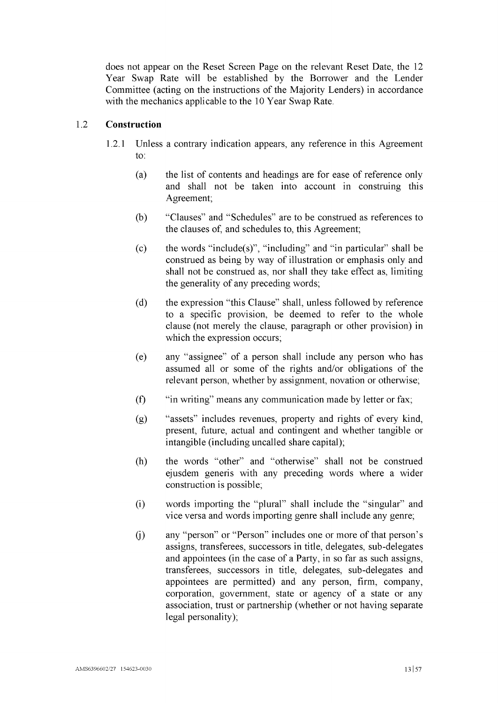does not appear on the Reset Screen Page on the relevant Reset Date, the 12 Year Swap Rate will be established by the Borrower and the Lender Committee (acting on the instructions of the Majority Lenders) in accordance with the mechanics applicable to the 10 Year Swap Rate.

# 1.2 **Construction**

- 1.2.1 Unless a contrary indication appears, any reference in this Agreement to:
	- (a) the list of contents and headings are for ease of reference only and shall not be taken into account in construing this Agreement;
	- (b) "Clauses" and "Schedules" are to be construed as references to the clauses of, and schedules to, this Agreement;
	- (c) the words "include(s)", "including" and "in particular" shall be construed as being by way of illustration or emphasis only and shall not be construed as, nor shall they take effect as, limiting the generality of any preceding words;
	- (d) the expression "this Clause" shall, unless followed by reference to a specific provision, be deemed to refer to the whole clause (not merely the clause, paragraph or other provision) in which the expression occurs;
	- (e) any "assignee" of a person shall include any person who has assumed all or some of the rights and/or obligations of the relevant person, whether by assignment, novation or otherwise;
	- (f) "in writing" means any communication made by letter or fax;
	- (g) "assets" includes revenues, property and rights of every kind, present, future, actual and contingent and whether tangible or intangible (including uncalled share capital);
	- (h) the words "other" and "otherwise" shall not be construed ejusdem generis with any preceding words where a wider construction is possible;
	- (i) words importing the "plural" shall include the "singular" and vice versa and words importing genre shall include any genre;
	- (j) any "person" or "Person" includes one or more of that person's assigns, transferees, successors in title, delegates, sub-delegates and appointees (in the case of a Party, in so far as such assigns, transferees, successors in title, delegates, sub-delegates and appointees are permitted) and any person, firm, company, corporation, government, state or agency of a state or any association, trust or partnership (whether or not having separate legal personality);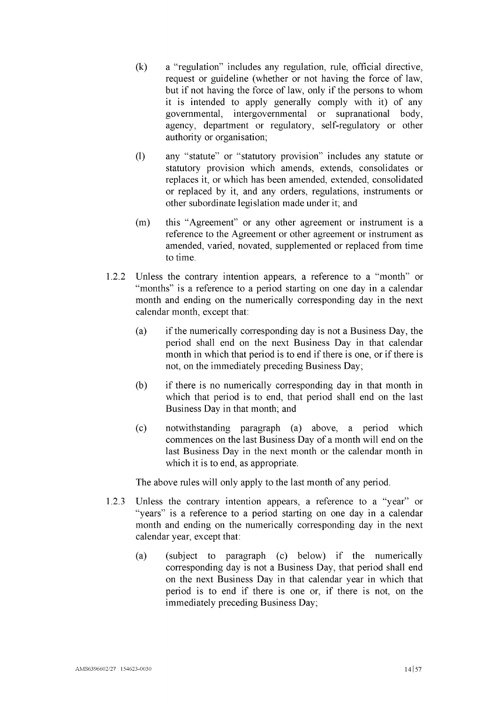- (k) a "regulation" includes any regulation, rule, official directive, request or guideline (whether or not having the force of law, but if not having the force of law, only if the persons to whom it is intended to apply generally comply with it) of any governmental, intergovernmental or supranational body, agency, department or regulatory, self-regulatory or other authority or organisation;
- (l) any "statute" or "statutory provision" includes any statute or statutory provision which amends, extends, consolidates or replaces it, or which has been amended, extended, consolidated or replaced by it, and any orders, regulations, instruments or other subordinate legislation made under it; and
- (m) this "Agreement" or any other agreement or instrument is a reference to the Agreement or other agreement or instrument as amended, varied, novated, supplemented or replaced from time to time.
- <span id="page-16-0"></span>1.2.2 Unless the contrary intention appears, a reference to a "month" or "months" is a reference to a period starting on one day in a calendar month and ending on the numerically corresponding day in the next calendar month, except that:
	- (a) if the numerically corresponding day is not a Business Day, the period shall end on the next Business Day in that calendar month in which that period is to end if there is one, or if there is not, on the immediately preceding Business Day;
	- (b) if there is no numerically corresponding day in that month in which that period is to end, that period shall end on the last Business Day in that month; and
	- (c) notwithstanding paragraph [\(a\)](#page-16-0) above, a period which commences on the last Business Day of a month will end on the last Business Day in the next month or the calendar month in which it is to end, as appropriate.

The above rules will only apply to the last month of any period.

- <span id="page-16-1"></span>1.2.3 Unless the contrary intention appears, a reference to a "year" or "years" is a reference to a period starting on one day in a calendar month and ending on the numerically corresponding day in the next calendar year, except that:
	- (a) (subject to paragraph [\(c\)](#page-17-1) below) if the numerically corresponding day is not a Business Day, that period shall end on the next Business Day in that calendar year in which that period is to end if there is one or, if there is not, on the immediately preceding Business Day;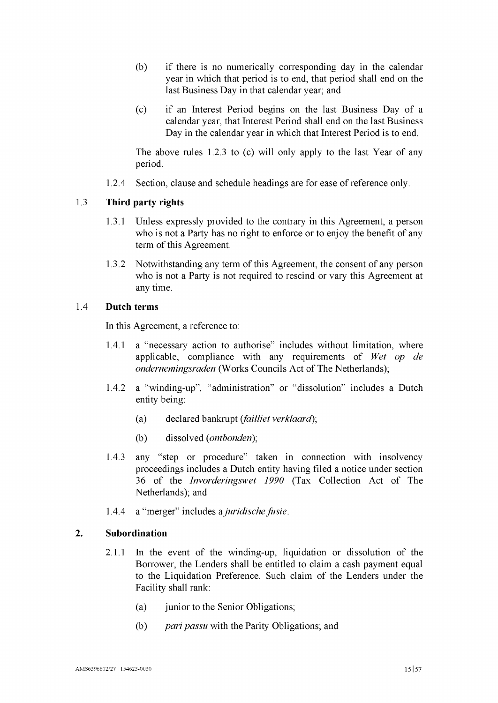- (b) if there is no numerically corresponding day in the calendar year in which that period is to end, that period shall end on the last Business Day in that calendar year; and
- <span id="page-17-1"></span>(c) if an Interest Period begins on the last Business Day of a calendar year, that Interest Period shall end on the last Business Day in the calendar year in which that Interest Period is to end.

The above rules [1.2.3](#page-16-1) to [\(c\)](#page-17-1) will only apply to the last Year of any period.

1.2.4 Section, clause and schedule headings are for ease of reference only.

#### <span id="page-17-2"></span>1.3 **Third party rights**

- 1.3.1 Unless expressly provided to the contrary in this Agreement, a person who is not a Party has no right to enforce or to enjoy the benefit of any term of this Agreement.
- 1.3.2 Notwithstanding any term of this Agreement, the consent of any person who is not a Party is not required to rescind or vary this Agreement at any time.

# 1.4 **Dutch terms**

In this Agreement, a reference to:

- 1.4.1 a "necessary action to authorise" includes without limitation, where applicable, compliance with any requirements of *Wet op de ondernemingsraden* (Works Councils Act of The Netherlands);
- 1.4.2 a "winding-up", "administration" or "dissolution" includes a Dutch entity being:
	- (a) declared bankrupt *(failliet verklaard);*
	- (b) dissolved *(ontbonden);*
- 1.4.3 any "step or procedure" taken in connection with insolvency proceedings includes a Dutch entity having filed a notice under section 36 of the *Invorderingswet 1990* (Tax Collection Act of The Netherlands); and
- 1.4.4 a "merger" includes a*juridischefusie.*

#### <span id="page-17-0"></span>**2. Subordination**

- 2.1.1 In the event of the winding-up, liquidation or dissolution of the Borrower, the Lenders shall be entitled to claim a cash payment equal to the Liquidation Preference. Such claim of the Lenders under the Facility shall rank:
	- (a) junior to the Senior Obligations;
	- (b) *pari passu* with the Parity Obligations; and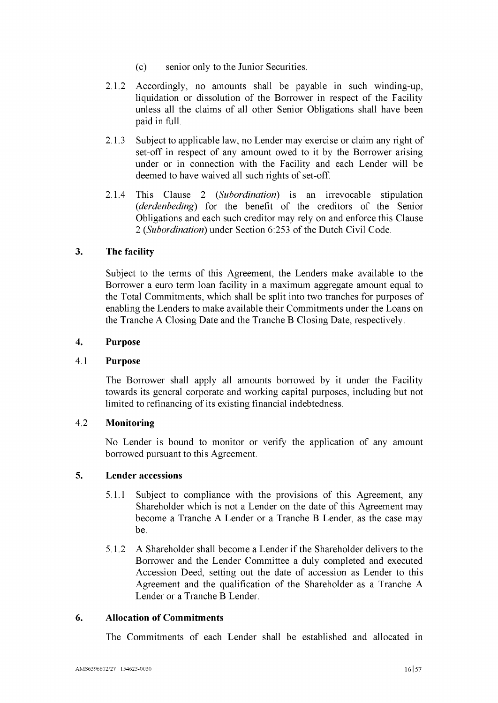- (c) senior only to the Junior Securities.
- 2.1.2 Accordingly, no amounts shall be payable in such winding-up, liquidation or dissolution of the Borrower in respect of the Facility unless all the claims of all other Senior Obligations shall have been paid in full.
- 2.1.3 Subject to applicable law, no Lender may exercise or claim any right of set-off in respect of any amount owed to it by the Borrower arising under or in connection with the Facility and each Lender will be deemed to have waived all such rights of set-off.
- 2.1.4 This Clause [2](#page-17-0) (*Subordination*) is an irrevocable stipulation *(derdenbeding)* for the benefit of the creditors of the Senior Obligations and each such creditor may rely on and enforce this Clause [2](#page-17-0) (*Subordination*) under Section 6:253 of the Dutch Civil Code.

# <span id="page-18-0"></span>**3. The facility**

Subject to the terms of this Agreement, the Lenders make available to the Borrower a euro term loan facility in a maximum aggregate amount equal to the Total Commitments, which shall be split into two tranches for purposes of enabling the Lenders to make available their Commitments under the Loans on the Tranche A Closing Date and the Tranche B Closing Date, respectively.

# <span id="page-18-1"></span>**4. Purpose**

# 4.1 **Purpose**

The Borrower shall apply all amounts borrowed by it under the Facility towards its general corporate and working capital purposes, including but not limited to refinancing of its existing financial indebtedness.

# 4.2 **Monitoring**

No Lender is bound to monitor or verify the application of any amount borrowed pursuant to this Agreement.

# <span id="page-18-2"></span>**5. Lender accessions**

- 5.1.1 Subject to compliance with the provisions of this Agreement, any Shareholder which is not a Lender on the date of this Agreement may become a Tranche A Lender or a Tranche B Lender, as the case may be.
- 5.1.2 A Shareholder shall become a Lender ifthe Shareholder delivers to the Borrower and the Lender Committee a duly completed and executed Accession Deed, setting out the date of accession as Lender to this Agreement and the qualification of the Shareholder as a Tranche A Lender or a Tranche B Lender.

# <span id="page-18-3"></span>**6. Allocation of Commitments**

The Commitments of each Lender shall be established and allocated in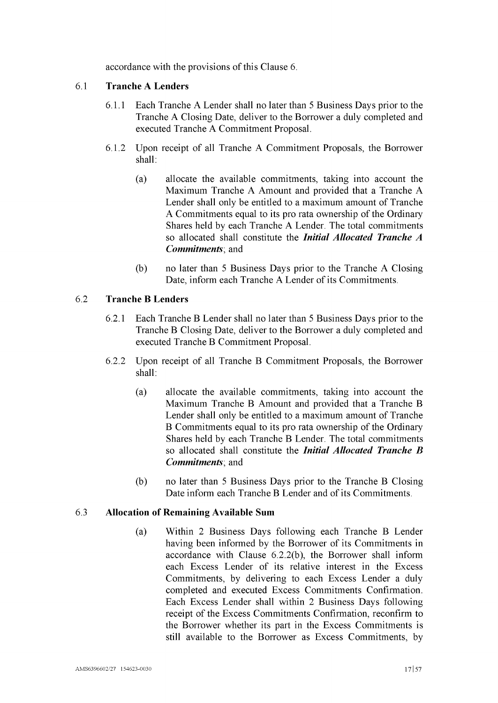accordance with the provisions of this Clause [6.](#page-18-3)

# 6.1 **Tranche A Lenders**

- 6.1.1 Each Tranche A Lender shall no later than 5 Business Days prior to the Tranche A Closing Date, deliver to the Borrower a duly completed and executed Tranche A Commitment Proposal.
- <span id="page-19-0"></span>6.1.2 Upon receipt of all Tranche A Commitment Proposals, the Borrower shall:
	- (a) allocate the available commitments, taking into account the Maximum Tranche A Amount and provided that a Tranche A Lender shall only be entitled to a maximum amount of Tranche A Commitments equal to its pro rata ownership of the Ordinary Shares held by each Tranche A Lender. The total commitments so allocated shall constitute the *Initial Allocated Tranche A Commitments*; and
	- (b) no later than 5 Business Days prior to the Tranche A Closing Date, inform each Tranche A Lender of its Commitments.

# 6.2 **Tranche B Lenders**

- 6.2.1 Each Tranche B Lender shall no later than 5 Business Days prior to the Tranche B Closing Date, deliver to the Borrower a duly completed and executed Tranche B Commitment Proposal.
- <span id="page-19-1"></span>6.2.2 Upon receipt of all Tranche B Commitment Proposals, the Borrower shall:
	- (a) allocate the available commitments, taking into account the Maximum Tranche B Amount and provided that a Tranche B Lender shall only be entitled to a maximum amount of Tranche B Commitments equal to its pro rata ownership of the Ordinary Shares held by each Tranche B Lender. The total commitments so allocated shall constitute the *Initial Allocated Tranche B Commitments*; and
	- (b) no later than 5 Business Days prior to the Tranche B Closing Date inform each Tranche B Lender and of its Commitments.

# <span id="page-19-2"></span>6.3 **Allocation of Remaining Available Sum**

(a) Within 2 Business Days following each Tranche B Lender having been informed by the Borrower of its Commitments in accordance with Clause [6.2.2\(b\),](#page-19-2) the Borrower shall inform each Excess Lender of its relative interest in the Excess Commitments, by delivering to each Excess Lender a duly completed and executed Excess Commitments Confirmation. Each Excess Lender shall within 2 Business Days following receipt of the Excess Commitments Confirmation, reconfirm to the Borrower whether its part in the Excess Commitments is still available to the Borrower as Excess Commitments, by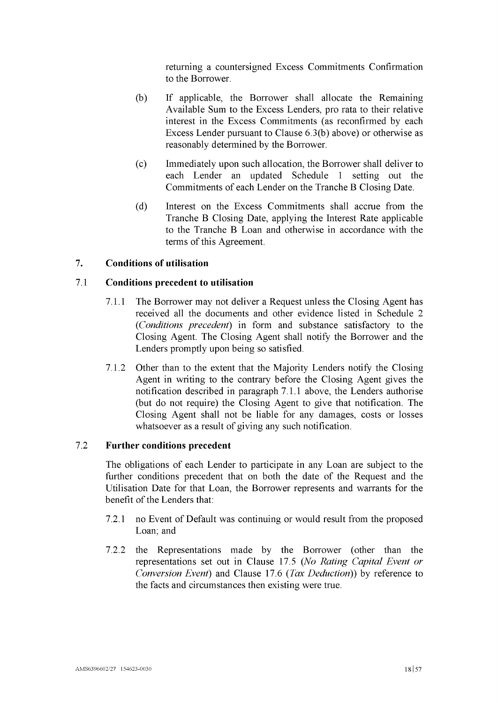returning a countersigned Excess Commitments Confirmation to the Borrower.

- <span id="page-20-1"></span>(b) If applicable, the Borrower shall allocate the Remaining Available Sum to the Excess Lenders, pro rata to their relative interest in the Excess Commitments (as reconfirmed by each Excess Lender pursuant to Clause [6.](#page-19-2)[3\(b\)](#page-20-1) above) or otherwise as reasonably determined by the Borrower.
- (c) Immediately upon such allocation, the Borrower shall deliver to each Lender an updated [Schedule](#page-47-1) <sup>1</sup> setting out the Commitments of each Lender on the Tranche B Closing Date.
- (d) Interest on the Excess Commitments shall accrue from the Tranche B Closing Date, applying the Interest Rate applicable to the Tranche B Loan and otherwise in accordance with the terms of this Agreement.

# <span id="page-20-2"></span><span id="page-20-0"></span>**7. Conditions of utilisation**

# 7.1 **Conditions precedent to utilisation**

- 7.1.1 The Borrower may not deliver a Request unless the Closing Agent has received all the documents and other evidence listed in [Schedule](#page-49-0) 2 *(Conditions precedent)* in form and substance satisfactory to the Closing Agent. The Closing Agent shall notify the Borrower and the Lenders promptly upon being so satisfied.
- 7.1.2 Other than to the extent that the Majority Lenders notify the Closing Agent in writing to the contrary before the Closing Agent gives the notification described in paragraph [7.1.1](#page-20-2) above, the Lenders authorise (but do not require) the Closing Agent to give that notification. The Closing Agent shall not be liable for any damages, costs or losses whatsoever as a result of giving any such notification.

# 7.2 **Further conditions precedent**

The obligations of each Lender to participate in any Loan are subject to the further conditions precedent that on both the date of the Request and the Utilisation Date for that Loan, the Borrower represents and warrants for the benefit of the Lenders that:

- 7.2.1 no Event of Default was continuing or would result from the proposed Loan; and
- 7.2.2 the Representations made by the Borrower (other than the representations set out in Clause [17.5](#page-34-1) *(No Rating Capital Event or Conversion Event)* and Clause [17.6](#page-34-2) *(Tax Deduction))* by reference to the facts and circumstances then existing were true.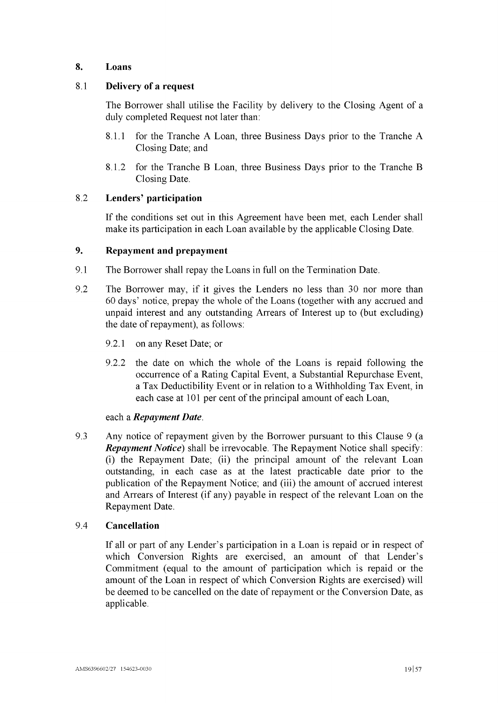# 8. Loans

# 8.1 Delivery of a request

The Borrower shall utilise the Facility by delivery to the Closing Agent of a duly completed Request not later than:

- 8.1.1 for the Tranche A Loan, three Business Days prior to the Tranche A Closing Date; and
- 8.1.2 for the Tranche B Loan, three Business Days prior to the Tranche B Closing Date.

# 8.2 Lenders' participation

If the conditions set out in this Agreement have been met, each Lender shall make its participation in each Loan available by the applicable Closing Date.

# <span id="page-21-0"></span>9. Repayment and prepayment

- <span id="page-21-1"></span>9.1 The Borrower shall repay the Loans in full on the Termination Date.
- 9.2 The Borrower may, if it gives the Lenders no less than 30 nor more than 60 days' notice, prepay the whole ofthe Loans (together with any accrued and unpaid interest and any outstanding Arrears of Interest up to (but excluding) the date of repayment), as follows:
	- 9.2.1 on any Reset Date; or
	- 9.2.2 the date on which the whole of the Loans is repaid following the occurrence of a Rating Capital Event, a Substantial Repurchase Event, a Tax Deductibility Event or in relation to a Withholding Tax Event, in each case at 101 per cent of the principal amount of each Loan,

# each a *Repayment Date.*

<span id="page-21-2"></span>9.3 Any notice of repayment given by the Borrower pursuant to this Clause [9](#page-21-0) (a *Repayment Notice)* shall be irrevocable. The Repayment Notice shall specify: (i) the Repayment Date; (ii) the principal amount of the relevant Loan outstanding, in each case as at the latest practicable date prior to the publication of the Repayment Notice; and (iii) the amount of accrued interest and Arrears of Interest (if any) payable in respect of the relevant Loan on the Repayment Date.

# 9.4 Cancellation

If all or part of any Lender's participation in a Loan is repaid or in respect of which Conversion Rights are exercised, an amount of that Lender's Commitment (equal to the amount of participation which is repaid or the amount of the Loan in respect of which Conversion Rights are exercised) will be deemed to be cancelled on the date of repayment or the Conversion Date, as applicable.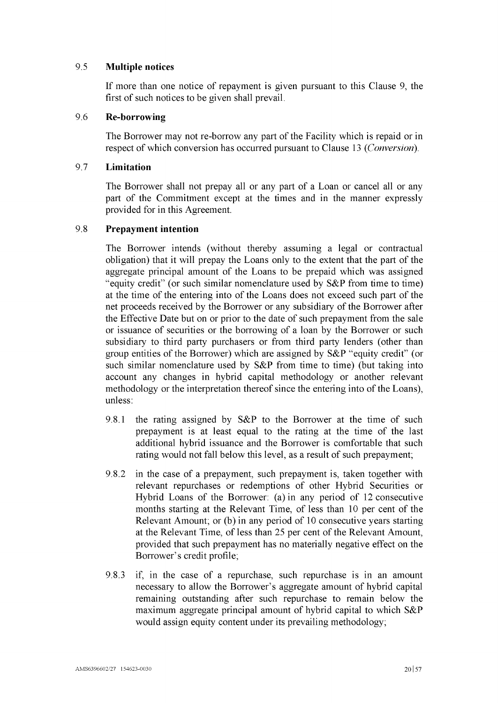# 9.5 **Multiple notices**

If more than one notice of repayment is given pursuant to this Clause [9,](#page-21-0) the first of such notices to be given shall prevail.

# 9.6 **Re-borrowing**

The Borrower may not re-borrow any part of the Facility which is repaid or in respect of which conversion has occurred pursuant to Clause [13](#page-26-0) *(Conversion).*

# 9.7 **Limitation**

The Borrower shall not prepay all or any part of a Loan or cancel all or any part of the Commitment except at the times and in the manner expressly provided for in this Agreement.

# 9.8 **Prepayment intention**

The Borrower intends (without thereby assuming a legal or contractual obligation) that it will prepay the Loans only to the extent that the part of the aggregate principal amount of the Loans to be prepaid which was assigned "equity credit" (or such similar nomenclature used by S&P from time to time) at the time of the entering into of the Loans does not exceed such part of the net proceeds received by the Borrower or any subsidiary of the Borrower after the Effective Date but on or prior to the date of such prepayment from the sale or issuance of securities or the borrowing of a loan by the Borrower or such subsidiary to third party purchasers or from third party lenders (other than group entities of the Borrower) which are assigned by S&P "equity credit" (or such similar nomenclature used by S&P from time to time) (but taking into account any changes in hybrid capital methodology or another relevant methodology or the interpretation thereof since the entering into of the Loans), unless:

- 9.8.1 the rating assigned by S&P to the Borrower at the time of such prepayment is at least equal to the rating at the time of the last additional hybrid issuance and the Borrower is comfortable that such rating would not fall below this level, as a result of such prepayment;
- 9.8.2 in the case of a prepayment, such prepayment is, taken together with relevant repurchases or redemptions of other Hybrid Securities or Hybrid Loans of the Borrower: (a) in any period of 12 consecutive months starting at the Relevant Time, of less than 10 per cent of the Relevant Amount; or (b) in any period of 10 consecutive years starting at the Relevant Time, of less than 25 per cent of the Relevant Amount, provided that such prepayment has no materially negative effect on the Borrower's credit profile;
- 9.8.3 if, in the case of a repurchase, such repurchase is in an amount necessary to allow the Borrower's aggregate amount of hybrid capital remaining outstanding after such repurchase to remain below the maximum aggregate principal amount of hybrid capital to which S&P would assign equity content under its prevailing methodology;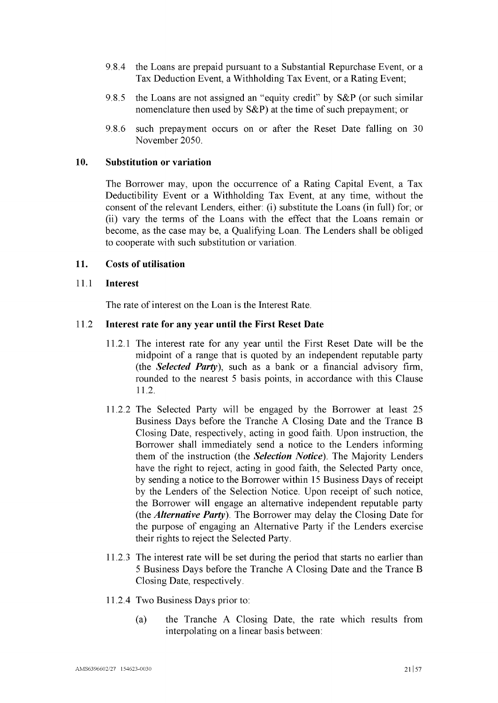- 9.8.4 the Loans are prepaid pursuant to a Substantial Repurchase Event, or a Tax Deduction Event, a Withholding Tax Event, or a Rating Event;
- 9.8.5 the Loans are not assigned an "equity credit" by S&P (or such similar nomenclature then used by  $S\&P$ ) at the time of such prepayment; or
- 9.8.6 such prepayment occurs on or after the Reset Date falling on 30 November 2050.

#### 10. Substitution or variation

The Borrower may, upon the occurrence of a Rating Capital Event, a Tax Deductibility Event or a Withholding Tax Event, at any time, without the consent of the relevant Lenders, either: (i) substitute the Loans (in full) for; or (ii) vary the terms of the Loans with the effect that the Loans remain or become, as the case may be, a Qualifying Loan. The Lenders shall be obliged to cooperate with such substitution or variation.

### <span id="page-23-2"></span>11. Costs of utilisation

#### 11.1 Interest

The rate of interest on the Loan is the Interest Rate.

#### <span id="page-23-0"></span>11.2 Interest rate for any year until the First Reset Date

- 11.2.1 The interest rate for any year until the First Reset Date will be the midpoint of a range that is quoted by an independent reputable party (the *Selected Party),* such as a bank or a financial advisory firm, rounded to the nearest 5 basis points, in accordance with this Clause [11.2.](#page-23-0)
- 11.2.2 The Selected Party will be engaged by the Borrower at least 25 Business Days before the Tranche A Closing Date and the Trance B Closing Date, respectively, acting in good faith. Upon instruction, the Borrower shall immediately send a notice to the Lenders informing them of the instruction (the *Selection Notice).* The Majority Lenders have the right to reject, acting in good faith, the Selected Party once, by sending a notice to the Borrower within 15 Business Days of receipt by the Lenders of the Selection Notice. Upon receipt of such notice, the Borrower will engage an alternative independent reputable party (the *Alternative Party).* The Borrower may delay the Closing Date for the purpose of engaging an Alternative Party if the Lenders exercise their rights to reject the Selected Party.
- 11.2.3 The interest rate will be set during the period that starts no earlier than 5 Business Days before the Tranche A Closing Date and the Trance B Closing Date, respectively.
- <span id="page-23-1"></span>11.2.4 Two Business Days prior to:
	- (a) the Tranche A Closing Date, the rate which results from interpolating on a linear basis between: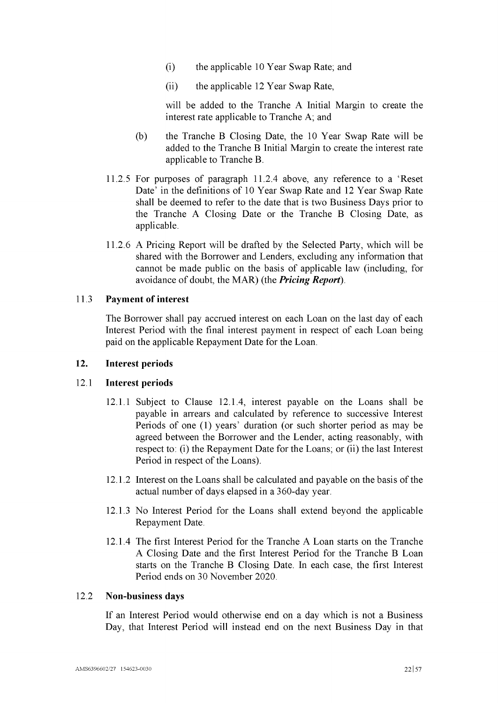- (i) the applicable 10 Year Swap Rate; and
- (ii) the applicable 12 Year Swap Rate,

will be added to the Tranche A Initial Margin to create the interest rate applicable to Tranche A; and

- (b) the Tranche B Closing Date, the 10 Year Swap Rate will be added to the Tranche B Initial Margin to create the interest rate applicable to Tranche B.
- 11.2.5 For purposes of paragraph [11.2.4](#page-23-1) above, any reference to a 'Reset Date' in the definitions of 10 Year Swap Rate and 12 Year Swap Rate shall be deemed to refer to the date that is two Business Days prior to the Tranche A Closing Date or the Tranche B Closing Date, as applicable.
- <span id="page-24-1"></span>11.2.6 A Pricing Report will be drafted by the Selected Party, which will be shared with the Borrower and Lenders, excluding any information that cannot be made public on the basis of applicable law (including, for avoidance of doubt, the MAR) (the *Pricing Report).*

### <span id="page-24-3"></span>11.3 Payment of interest

The Borrower shall pay accrued interest on each Loan on the last day of each Interest Period with the final interest payment in respect of each Loan being paid on the applicable Repayment Date for the Loan.

#### <span id="page-24-0"></span>12. Interest periods

#### 12.1 Interest periods

- 12.1.1 Subject to Clause [12.1.4,](#page-24-2) interest payable on the Loans shall be payable in arrears and calculated by reference to successive Interest Periods of one (1) years' duration (or such shorter period as may be agreed between the Borrower and the Lender, acting reasonably, with respect to: (i) the Repayment Date for the Loans; or (ii) the last Interest Period in respect of the Loans).
- 12.1.2 Interest on the Loans shall be calculated and payable on the basis of the actual number of days elapsed in a 360-day year.
- 12.1.3 No Interest Period for the Loans shall extend beyond the applicable Repayment Date.
- <span id="page-24-2"></span>12.1.4 The first Interest Period for the Tranche A Loan starts on the Tranche A Closing Date and the first Interest Period for the Tranche B Loan starts on the Tranche B Closing Date. In each case, the first Interest Period ends on 30 November 2020.

#### 12.2 Non-business days

If an Interest Period would otherwise end on a day which is not a Business Day, that Interest Period will instead end on the next Business Day in that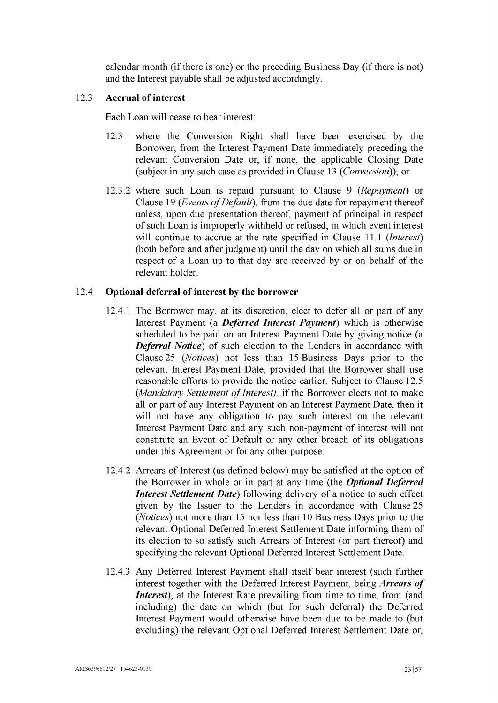calendar month (if there is one) or the preceding Business Day (if there is not) and the Interest payable shall be adjusted accordingly.

#### 12.3 **Accrual of interest**

Each Loan will cease to bear interest:

- 12.3.1 where the Conversion Right shall have been exercised by the Borrower, from the Interest Payment Date immediately preceding the relevant Conversion Date or, if none, the applicable Closing Date (subject in any such case as provided in Clause [13](#page-26-0) *(Conversion));* or
- 12.3.2 where such Loan is repaid pursuant to Clause [9](#page-21-0) *(Repayment)* or Clause [19](#page-38-0) *(Events of Default)*, from the due date for repayment thereof unless, upon due presentation thereof, payment of principal in respect of such Loan is improperly withheld or refused, in which event interest will continue to accrue at the rate specified in Clause [11.1](#page-23-2) *(Interest)* (both before and after judgment) until the day on which all sums due in respect of a Loan up to that day are received by or on behalf of the relevant holder.

# <span id="page-25-1"></span>12.4 **Optional deferral of interest by the borrower**

- 12.4.1 The Borrower may, at its discretion, elect to defer all or part of any Interest Payment (a *Deferred Interest Payment)* which is otherwise scheduled to be paid on an Interest Payment Date by giving notice (a *Deferral Notice)* of such election to the Lenders in accordance with Clause [25](#page-43-0) *(Notices)* not less than 15 Business Days prior to the relevant Interest Payment Date, provided that the Borrower shall use reasonable efforts to provide the notice earlier. Subject to Clause [12.5](#page-26-2) (*Mandatory Settlement of Interest*), if the Borrower elects not to make all or part of any Interest Payment on an Interest Payment Date, then it will not have any obligation to pay such interest on the relevant Interest Payment Date and any such non-payment of interest will not constitute an Event of Default or any other breach of its obligations under this Agreement or for any other purpose.
- <span id="page-25-2"></span>12.4.2 Arrears of Interest (as defined below) may be satisfied at the option of the Borrower in whole or in part at any time (the *Optional Deferred Interest Settlement Date)* following delivery of a notice to such effect given by the Issuer to the Lenders in accordance with Clause [25](#page-43-0) *(Notices)* not more than 15 nor less than 10 Business Days prior to the relevant Optional Deferred Interest Settlement Date informing them of its election to so satisfy such Arrears of Interest (or part thereof) and specifying the relevant Optional Deferred Interest Settlement Date.
- <span id="page-25-0"></span>12.4.3 Any Deferred Interest Payment shall itself bear interest (such further interest together with the Deferred Interest Payment, being *Arrears of Interest*), at the Interest Rate prevailing from time to time, from (and including) the date on which (but for such deferral) the Deferred Interest Payment would otherwise have been due to be made to (but excluding) the relevant Optional Deferred Interest Settlement Date or,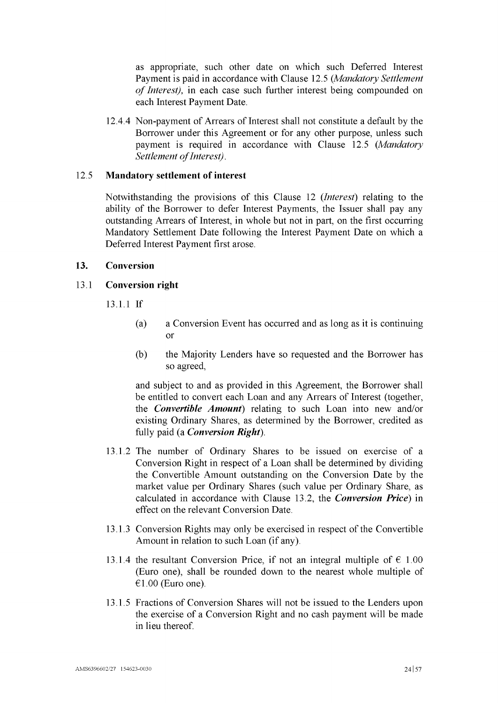as appropriate, such other date on which such Deferred Interest Payment is paid in accordance with Clause [12.5](#page-26-2) *(Mandatory Settlement of Interest*), in each case such further interest being compounded on each Interest Payment Date.

12.4.4 Non-payment of Arrears of Interest shall not constitute a default by the Borrower under this Agreement or for any other purpose, unless such payment is required in accordance with Clause [12.5](#page-26-2) *(Mandatory Settlement ofInterest)*.

### <span id="page-26-2"></span>12.5 **Mandatory settlement of interest**

Notwithstanding the provisions of this Clause [12](#page-24-0) (*Interest*) relating to the ability of the Borrower to defer Interest Payments, the Issuer shall pay any outstanding Arrears of Interest, in whole but not in part, on the first occurring Mandatory Settlement Date following the Interest Payment Date on which a Deferred Interest Payment first arose.

#### <span id="page-26-1"></span><span id="page-26-0"></span>**13. Conversion**

#### 13.1 **Conversion right**

13.1.1 If

- (a) a Conversion Event has occurred and as long as it is continuing or
- (b) the Majority Lenders have so requested and the Borrower has so agreed,

and subject to and as provided in this Agreement, the Borrower shall be entitled to convert each Loan and any Arrears of Interest (together, the *Convertible Amount)* relating to such Loan into new and/or existing Ordinary Shares, as determined by the Borrower, credited as fully paid (a *Conversion Right).*

- 13.1.2 The number of Ordinary Shares to be issued on exercise of a Conversion Right in respect of a Loan shall be determined by dividing the Convertible Amount outstanding on the Conversion Date by the market value per Ordinary Shares (such value per Ordinary Share, as calculated in accordance with Clause [13.2,](#page-27-1) the *Conversion Price)* in effect on the relevant Conversion Date.
- 13.1.3 Conversion Rights may only be exercised in respect of the Convertible Amount in relation to such Loan (if any).
- 13.1.4 the resultant Conversion Price, if not an integral multiple of  $\epsilon$  1.00 (Euro one), shall be rounded down to the nearest whole multiple of  $€1.00$  (Euro one).
- 13.1.5 Fractions of Conversion Shares will not be issued to the Lenders upon the exercise of a Conversion Right and no cash payment will be made in lieu thereof.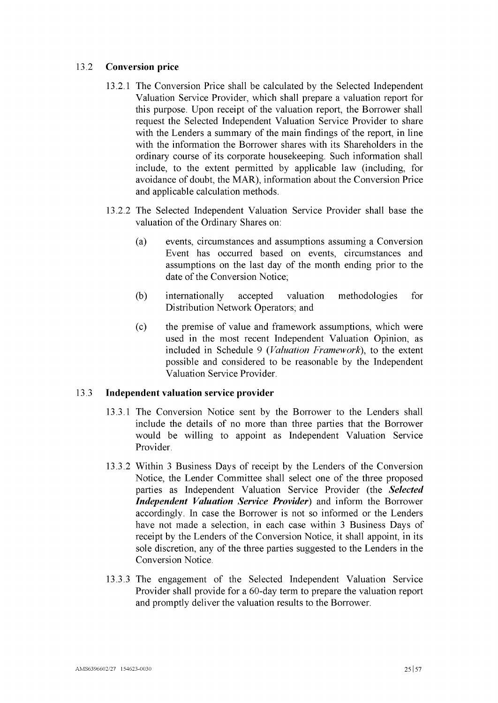# <span id="page-27-1"></span>13.2 **Conversion price**

- 13.2.1 The Conversion Price shall be calculated by the Selected Independent Valuation Service Provider, which shall prepare a valuation report for this purpose. Upon receipt of the valuation report, the Borrower shall request the Selected Independent Valuation Service Provider to share with the Lenders a summary of the main findings of the report, in line with the information the Borrower shares with its Shareholders in the ordinary course of its corporate housekeeping. Such information shall include, to the extent permitted by applicable law (including, for avoidance of doubt, the MAR), information about the Conversion Price and applicable calculation methods.
- 13.2.2 The Selected Independent Valuation Service Provider shall base the valuation of the Ordinary Shares on:
	- (a) events, circumstances and assumptions assuming a Conversion Event has occurred based on events, circumstances and assumptions on the last day of the month ending prior to the date of the Conversion Notice;
	- (b) internationally accepted valuation methodologies for Distribution Network Operators; and
	- (c) the premise of value and framework assumptions, which were used in the most recent Independent Valuation Opinion, as included in [Schedule](#page-57-0) 9 *(Valuation Framework*), to the extent possible and considered to be reasonable by the Independent Valuation Service Provider.

# <span id="page-27-0"></span>13.3 **Independent valuation service provider**

- 13.3.1 The Conversion Notice sent by the Borrower to the Lenders shall include the details of no more than three parties that the Borrower would be willing to appoint as Independent Valuation Service Provider.
- 13.3.2 Within <sup>3</sup> Business Days of receipt by the Lenders of the Conversion Notice, the Lender Committee shall select one of the three proposed parties as Independent Valuation Service Provider (the *Selected Independent Valuation Service Provider)* and inform the Borrower accordingly. In case the Borrower is not so informed or the Lenders have not made a selection, in each case within 3 Business Days of receipt by the Lenders of the Conversion Notice, it shall appoint, in its sole discretion, any of the three parties suggested to the Lenders in the Conversion Notice.
- 13.3.3 The engagement of the Selected Independent Valuation Service Provider shall provide for a 60-day term to prepare the valuation report and promptly deliver the valuation results to the Borrower.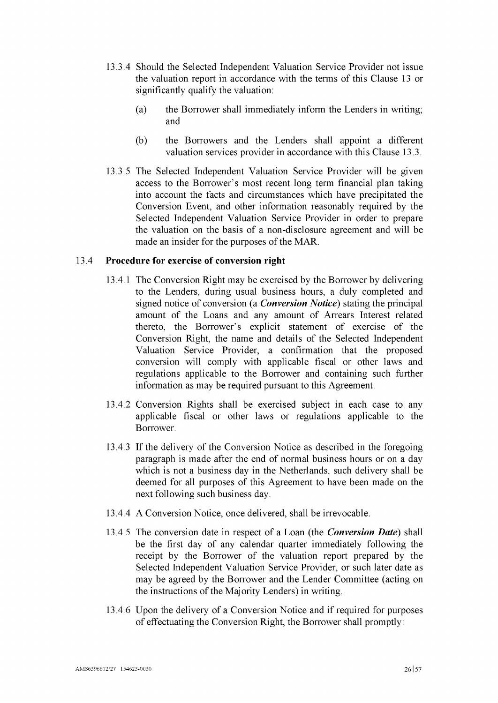- 13.3.4 Should the Selected Independent Valuation Service Provider not issue the valuation report in accordance with the terms of this Clause [13](#page-26-0) or significantly qualify the valuation:
	- (a) the Borrower shall immediately inform the Lenders in writing; and
	- (b) the Borrowers and the Lenders shall appoint a different valuation services provider in accordance with this Clause [13.3.](#page-27-0)
- 13.3.5 The Selected Independent Valuation Service Provider will be given access to the Borrower's most recent long term financial plan taking into account the facts and circumstances which have precipitated the Conversion Event, and other information reasonably required by the Selected Independent Valuation Service Provider in order to prepare the valuation on the basis of a non-disclosure agreement and will be made an insider for the purposes of the MAR.

# <span id="page-28-1"></span>13.4 **Procedure for exercise of conversion right**

- 13.4.1 The Conversion Right may be exercised by the Borrower by delivering to the Lenders, during usual business hours, a duly completed and signed notice of conversion (a *Conversion Notice)* stating the principal amount of the Loans and any amount of Arrears Interest related thereto, the Borrower's explicit statement of exercise of the Conversion Right, the name and details of the Selected Independent Valuation Service Provider, a confirmation that the proposed conversion will comply with applicable fiscal or other laws and regulations applicable to the Borrower and containing such further information as may be required pursuant to this Agreement.
- 13.4.2 Conversion Rights shall be exercised subject in each case to any applicable fiscal or other laws or regulations applicable to the Borrower.
- 13.4.3 If the delivery of the Conversion Notice as described in the foregoing paragraph is made after the end of normal business hours or on a day which is not a business day in the Netherlands, such delivery shall be deemed for all purposes of this Agreement to have been made on the next following such business day.
- 13.4.4 A Conversion Notice, once delivered, shall be irrevocable.
- <span id="page-28-0"></span>13.4.5 The conversion date in respect of a Loan (the *Conversion Date)* shall be the first day of any calendar quarter immediately following the receipt by the Borrower of the valuation report prepared by the Selected Independent Valuation Service Provider, or such later date as may be agreed by the Borrower and the Lender Committee (acting on the instructions of the Majority Lenders) in writing.
- 13.4.6 Upon the delivery of a Conversion Notice and if required for purposes of effectuating the Conversion Right, the Borrower shall promptly: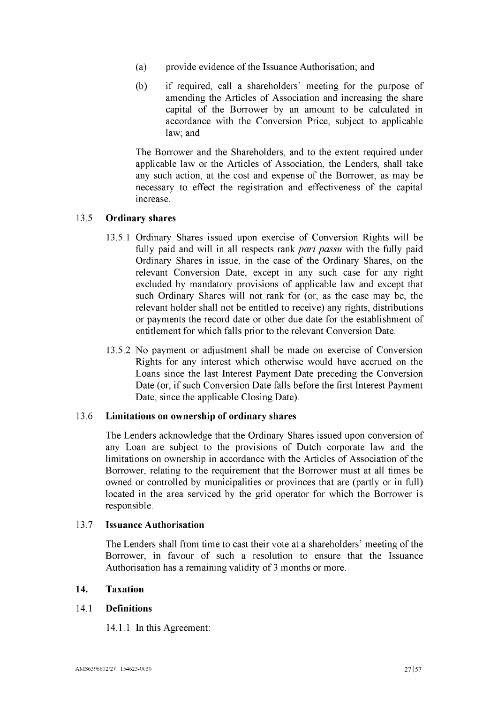- (a) provide evidence of the Issuance Authorisation; and
- (b) if required, call a shareholders' meeting for the purpose of amending the Articles of Association and increasing the share capital of the Borrower by an amount to be calculated in accordance with the Conversion Price, subject to applicable law; and

The Borrower and the Shareholders, and to the extent required under applicable law or the Articles of Association, the Lenders, shall take any such action, at the cost and expense of the Borrower, as may be necessary to effect the registration and effectiveness of the capital increase.

# 13.5 **Ordinary shares**

- 13.5.1 Ordinary Shares issued upon exercise of Conversion Rights will be fully paid and will in all respects rank *pari passu* with the fully paid Ordinary Shares in issue, in the case of the Ordinary Shares, on the relevant Conversion Date, except in any such case for any right excluded by mandatory provisions of applicable law and except that such Ordinary Shares will not rank for (or, as the case may be, the relevant holder shall not be entitled to receive) any rights, distributions or payments the record date or other due date for the establishment of entitlement for which falls prior to the relevant Conversion Date.
- 13.5.2 No payment or adjustment shall be made on exercise of Conversion Rights for any interest which otherwise would have accrued on the Loans since the last Interest Payment Date preceding the Conversion Date (or, if such Conversion Date falls before the first Interest Payment Date, since the applicable Closing Date).

# 13.6 **Limitations on ownership of ordinary shares**

The Lenders acknowledge that the Ordinary Shares issued upon conversion of any Loan are subject to the provisions of Dutch corporate law and the limitations on ownership in accordance with the Articles of Association of the Borrower, relating to the requirement that the Borrower must at all times be owned or controlled by municipalities or provinces that are (partly or in full) located in the area serviced by the grid operator for which the Borrower is responsible.

# 13.7 **Issuance Authorisation**

The Lenders shall from time to cast their vote at a shareholders' meeting of the Borrower, in favour of such a resolution to ensure that the Issuance Authorisation has a remaining validity of 3 months or more.

# <span id="page-29-0"></span>**14. Taxation**

# 14.1 **Definitions**

14.1.1 In this Agreement: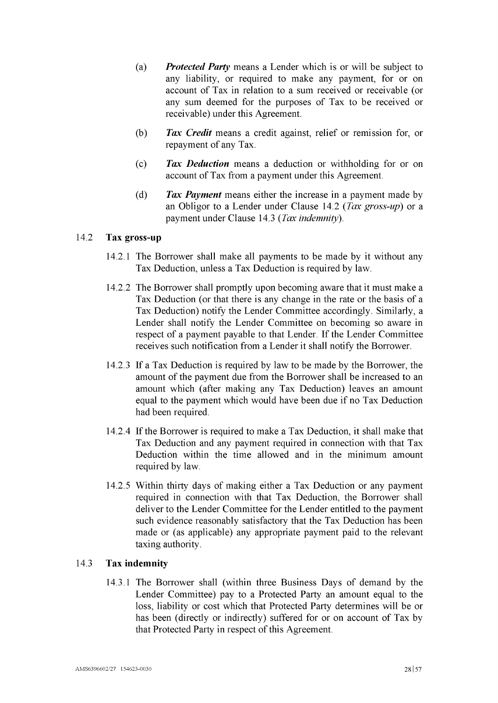- (a) *Protected Party* means a Lender which is or will be subject to any liability, or required to make any payment, for or on account of Tax in relation to a sum received or receivable (or any sum deemed for the purposes of Tax to be received or receivable) under this Agreement.
- (b) *Tax Credit* means a credit against, relief or remission for, or repayment of any Tax.
- (c) *Tax Deduction* means a deduction or withholding for or on account of Tax from a payment under this Agreement.
- (d) *Tax Payment* means either the increase in a payment made by an Obligor to a Lender under Clause [14.2](#page-30-0) *(Tax gross-up)* or a payment under Clause [14.3](#page-30-1) *(Tax indemnity).*

# <span id="page-30-0"></span>14.2 Tax gross-up

- 14.2.1 The Borrower shall make all payments to be made by it without any Tax Deduction, unless a Tax Deduction is required by law.
- 14.2.2 The Borrower shall promptly upon becoming aware that it must make a Tax Deduction (or that there is any change in the rate or the basis of a Tax Deduction) notify the Lender Committee accordingly. Similarly, a Lender shall notify the Lender Committee on becoming so aware in respect of a payment payable to that Lender. If the Lender Committee receives such notification from a Lender it shall notify the Borrower.
- 14.2.3 If a Tax Deduction is required by law to be made by the Borrower, the amount of the payment due from the Borrower shall be increased to an amount which (after making any Tax Deduction) leaves an amount equal to the payment which would have been due if no Tax Deduction had been required.
- 14.2.4 Ifthe Borrower is required to make a Tax Deduction, it shall make that Tax Deduction and any payment required in connection with that Tax Deduction within the time allowed and in the minimum amount required by law.
- 14.2.5 Within thirty days of making either a Tax Deduction or any payment required in connection with that Tax Deduction, the Borrower shall deliver to the Lender Committee for the Lender entitled to the payment such evidence reasonably satisfactory that the Tax Deduction has been made or (as applicable) any appropriate payment paid to the relevant taxing authority.

# <span id="page-30-1"></span>14.3 Tax indemnity

14.3.1 The Borrower shall (within three Business Days of demand by the Lender Committee) pay to a Protected Party an amount equal to the loss, liability or cost which that Protected Party determines will be or has been (directly or indirectly) suffered for or on account of Tax by that Protected Party in respect of this Agreement.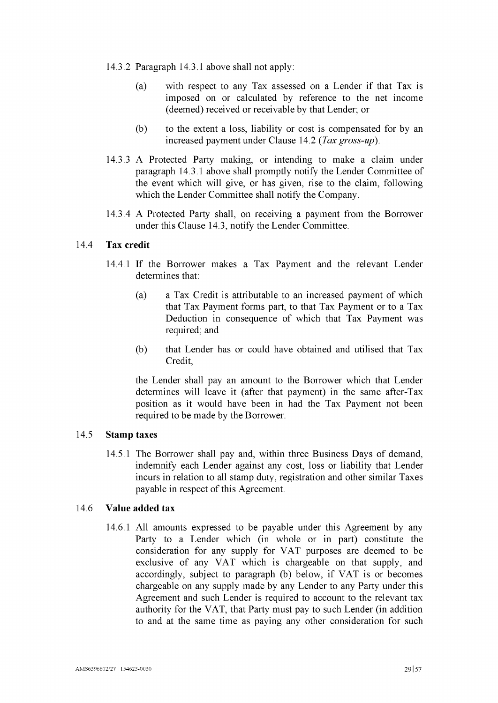- 14.3.2 Paragraph [14.3.1](#page-30-1) above shall not apply:
	- (a) with respect to any Tax assessed on a Lender if that Tax is imposed on or calculated by reference to the net income (deemed) received or receivable by that Lender; or
	- (b) to the extent a loss, liability or cost is compensated for by an increased payment under Clause [14.2](#page-30-0) *(Tax gross-up).*
- 14.3.3 A Protected Party making, or intending to make a claim under paragraph [14.3.1](#page-30-1) above shall promptly notify the Lender Committee of the event which will give, or has given, rise to the claim, following which the Lender Committee shall notify the Company.
- 14.3.4 A Protected Party shall, on receiving a payment from the Borrower under this Clause [14.3,](#page-30-1) notify the Lender Committee.

# 14.4 Tax credit

- 14.4.1 If the Borrower makes a Tax Payment and the relevant Lender determines that:
	- (a) a Tax Credit is attributable to an increased payment of which that Tax Payment forms part, to that Tax Payment or to a Tax Deduction in consequence of which that Tax Payment was required; and
	- (b) that Lender has or could have obtained and utilised that Tax Credit,

the Lender shall pay an amount to the Borrower which that Lender determines will leave it (after that payment) in the same after-Tax position as it would have been in had the Tax Payment not been required to be made by the Borrower.

#### 14.5 Stamp taxes

14.5.1 The Borrower shall pay and, within three Business Days of demand, indemnify each Lender against any cost, loss or liability that Lender incurs in relation to all stamp duty, registration and other similar Taxes payable in respect of this Agreement.

### <span id="page-31-0"></span>14.6 Value added tax

14.6.1 All amounts expressed to be payable under this Agreement by any Party to a Lender which (in whole or in part) constitute the consideration for any supply for VAT purposes are deemed to be exclusive of any VAT which is chargeable on that supply, and accordingly, subject to paragraph (b) below, if VAT is or becomes chargeable on any supply made by any Lender to any Party under this Agreement and such Lender is required to account to the relevant tax authority for the VAT, that Party must pay to such Lender (in addition to and at the same time as paying any other consideration for such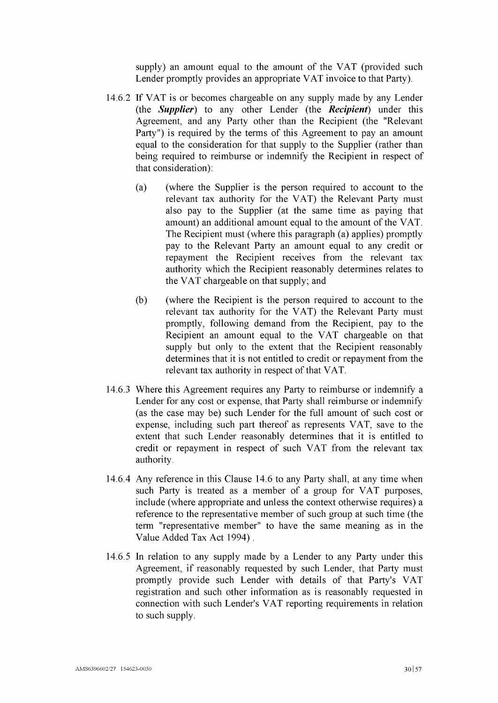supply) an amount equal to the amount of the VAT (provided such Lender promptly provides an appropriate VAT invoice to that Party).

- 14.6.2 If VAT is or becomes chargeable on any supply made by any Lender (the *Supplier)* to any other Lender (the *Recipient)* under this Agreement, and any Party other than the Recipient (the "Relevant Party") is required by the terms of this Agreement to pay an amount equal to the consideration for that supply to the Supplier (rather than being required to reimburse or indemnify the Recipient in respect of that consideration):
	- (a) (where the Supplier is the person required to account to the relevant tax authority for the VAT) the Relevant Party must also pay to the Supplier (at the same time as paying that amount) an additional amount equal to the amount of the VAT. The Recipient must (where this paragraph (a) applies) promptly pay to the Relevant Party an amount equal to any credit or repayment the Recipient receives from the relevant tax authority which the Recipient reasonably determines relates to the VAT chargeable on that supply; and
	- (b) (where the Recipient is the person required to account to the relevant tax authority for the VAT) the Relevant Party must promptly, following demand from the Recipient, pay to the Recipient an amount equal to the VAT chargeable on that supply but only to the extent that the Recipient reasonably determines that it is not entitled to credit or repayment from the relevant tax authority in respect of that VAT.
- 14.6.3 Where this Agreement requires any Party to reimburse or indemnify a Lender for any cost or expense, that Party shall reimburse or indemnify (as the case may be) such Lender for the full amount of such cost or expense, including such part thereof as represents VAT, save to the extent that such Lender reasonably determines that it is entitled to credit or repayment in respect of such VAT from the relevant tax authority.
- 14.6.4 Any reference in this Clause [14.6](#page-31-0) to any Party shall, at any time when such Party is treated as a member of a group for VAT purposes, include (where appropriate and unless the context otherwise requires) a reference to the representative member of such group at such time (the term "representative member" to have the same meaning as in the Value Added Tax Act 1994) .
- 14.6.5 In relation to any supply made by a Lender to any Party under this Agreement, if reasonably requested by such Lender, that Party must promptly provide such Lender with details of that Party's VAT registration and such other information as is reasonably requested in connection with such Lender's VAT reporting requirements in relation to such supply.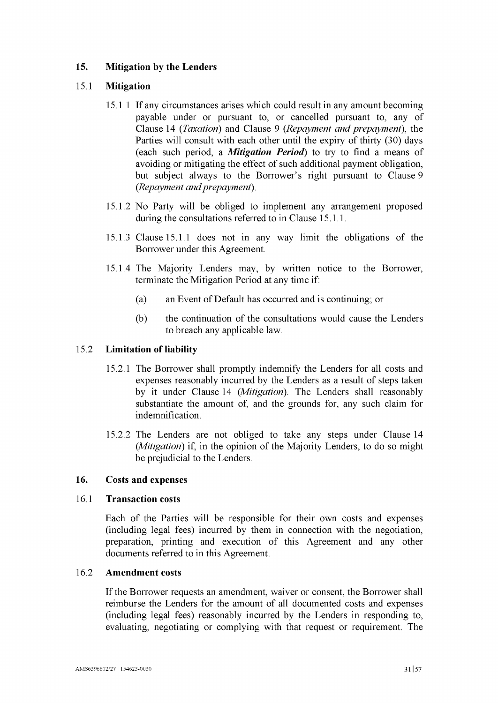# **15.** Mitigation by the Lenders

# <span id="page-33-0"></span>15.1 Mitigation

- 15.1.1 If any circumstances arises which could result in any amount becoming payable under or pursuant to, or cancelled pursuant to, any of Clause [14](#page-29-0) *(Taxation)* and Clause [9](#page-21-0) *(Repayment and prepayment),* the Parties will consult with each other until the expiry of thirty (30) days (each such period, a *Mitigation Period)* to try to find a means of avoiding or mitigating the effect of such additional payment obligation, but subject always to the Borrower's right pursuant to Clause [9](#page-21-0) (*Repayment andprepayment*).
- 15.1.2 No Party will be obliged to implement any arrangement proposed during the consultations referred to in Clause [15.1.1.](#page-33-0)
- 15.1.3 Clause [15.1.1](#page-33-0) does not in any way limit the obligations of the Borrower under this Agreement.
- 15.1.4 The Majority Lenders may, by written notice to the Borrower, terminate the Mitigation Period at any time if:
	- (a) an Event of Default has occurred and is continuing; or
	- (b) the continuation of the consultations would cause the Lenders to breach any applicable law.

# 15.2 Limitation of liability

- 15.2.1 The Borrower shall promptly indemnify the Lenders for all costs and expenses reasonably incurred by the Lenders as a result of steps taken by it under Clause [14](#page-29-0) *(Mitigation).* The Lenders shall reasonably substantiate the amount of, and the grounds for, any such claim for indemnification.
- 15.2.2 The Lenders are not obliged to take any steps under Clause [14](#page-29-0) (*Mitigation*) if, in the opinion of the Majority Lenders, to do so might be prejudicial to the Lenders.

# 16. Costs and expenses

# 16.1 Transaction costs

Each of the Parties will be responsible for their own costs and expenses (including legal fees) incurred by them in connection with the negotiation, preparation, printing and execution of this Agreement and any other documents referred to in this Agreement.

# 16.2 Amendment costs

If the Borrower requests an amendment, waiver or consent, the Borrower shall reimburse the Lenders for the amount of all documented costs and expenses (including legal fees) reasonably incurred by the Lenders in responding to, evaluating, negotiating or complying with that request or requirement. The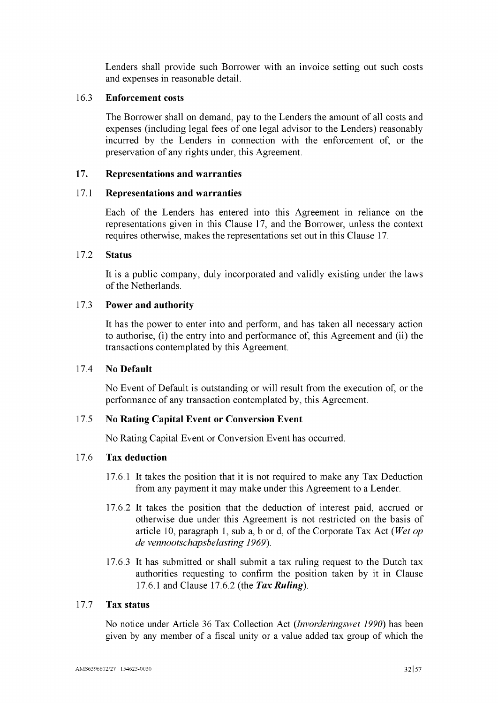Lenders shall provide such Borrower with an invoice setting out such costs and expenses in reasonable detail.

## 16.3 Enforcement costs

The Borrower shall on demand, pay to the Lenders the amount of all costs and expenses (including legal fees of one legal advisor to the Lenders) reasonably incurred by the Lenders in connection with the enforcement of, or the preservation of any rights under, this Agreement.

#### <span id="page-34-3"></span>17. Representations and warranties

#### <span id="page-34-0"></span>17.1 Representations and warranties

Each of the Lenders has entered into this Agreement in reliance on the representations given in this Clause [17,](#page-34-3) and the Borrower, unless the context requires otherwise, makes the representations set out in this Clause [17.](#page-34-3)

#### 17.2 Status

It is a public company, duly incorporated and validly existing under the laws of the Netherlands.

# 17.3 Power and authority

It has the power to enter into and perform, and has taken all necessary action to authorise, (i) the entry into and performance of, this Agreement and (ii) the transactions contemplated by this Agreement.

# 17.4 No Default

No Event of Default is outstanding or will result from the execution of, or the performance of any transaction contemplated by, this Agreement.

# <span id="page-34-1"></span>17.5 No Rating Capital Event or Conversion Event

No Rating Capital Event or Conversion Event has occurred.

# <span id="page-34-2"></span>17.6 Tax deduction

- 17.6.1 It takes the position that it is not required to make any Tax Deduction from any payment it may make under this Agreement to a Lender.
- <span id="page-34-4"></span>17.6.2 It takes the position that the deduction of interest paid, accrued or otherwise due under this Agreement is not restricted on the basis of article 10, paragraph 1, sub a, b or d, of the Corporate Tax Act *(Wet op*) *de vennootschapsbelasting 1969).*
- <span id="page-34-5"></span>17.6.3 It has submitted or shall submit a tax ruling request to the Dutch tax authorities requesting to confirm the position taken by it in Clause [17.6.1](#page-34-2) and Clause [17.6.2](#page-34-4) (the *Tax Ruling).*

# 17.7 Tax status

No notice under Article 36 Tax Collection Act *(Invorderingswet 1990)* has been given by any member of a fiscal unity or a value added tax group of which the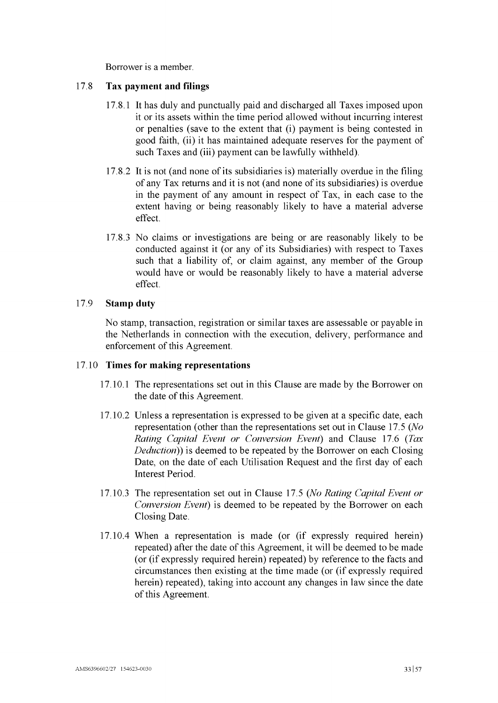Borrower is a member.

### 17.8 **Tax payment and filings**

- 17.8.1 It has duly and punctually paid and discharged all Taxes imposed upon it or its assets within the time period allowed without incurring interest or penalties (save to the extent that (i) payment is being contested in good faith, (ii) it has maintained adequate reserves for the payment of such Taxes and (iii) payment can be lawfully withheld).
- 17.8.2 It is not (and none ofits subsidiaries is) materially overdue in the filing of any Tax returns and it is not (and none ofits subsidiaries) is overdue in the payment of any amount in respect of Tax, in each case to the extent having or being reasonably likely to have a material adverse effect.
- 17.8.3 No claims or investigations are being or are reasonably likely to be conducted against it (or any of its Subsidiaries) with respect to Taxes such that a liability of, or claim against, any member of the Group would have or would be reasonably likely to have a material adverse effect.

# 17.9 **Stamp duty**

No stamp, transaction, registration or similar taxes are assessable or payable in the Netherlands in connection with the execution, delivery, performance and enforcement of this Agreement.

### 17.10 **Times for making representations**

- 17.10.1 The representations set out in this Clause are made by the Borrower on the date of this Agreement.
- 17.10.2 Unless a representation is expressed to be given at a specific date, each representation (other than the representations set out in Clause [17.5](#page-34-1) *(No Rating Capital Event or Conversion Event)* and Clause [17.6](#page-34-2) *(Tax Deduction))* is deemed to be repeated by the Borrower on each Closing Date, on the date of each Utilisation Request and the first day of each Interest Period.
- 17.10.3 The representation set out in Clause [17.5](#page-34-1) *(No Rating Capital Event or Conversion Event*) is deemed to be repeated by the Borrower on each Closing Date.
- 17.10.4 When a representation is made (or (if expressly required herein) repeated) after the date of this Agreement, it will be deemed to be made (or (if expressly required herein) repeated) by reference to the facts and circumstances then existing at the time made (or (if expressly required herein) repeated), taking into account any changes in law since the date of this Agreement.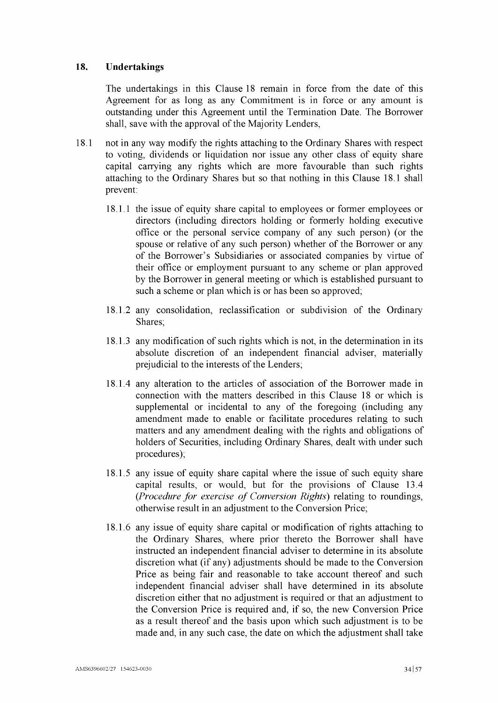# <span id="page-36-0"></span>**18. Undertakings**

The undertakings in this Clause [18](#page-36-0) remain in force from the date of this Agreement for as long as any Commitment is in force or any amount is outstanding under this Agreement until the Termination Date. The Borrower shall, save with the approval of the Majority Lenders,

- <span id="page-36-1"></span>18.1 not in any way modify the rights attaching to the Ordinary Shares with respect to voting, dividends or liquidation nor issue any other class of equity share capital carrying any rights which are more favourable than such rights attaching to the Ordinary Shares but so that nothing in this Clause [18.1](#page-36-1) shall prevent:
	- 18.1.1 the issue of equity share capital to employees or former employees or directors (including directors holding or formerly holding executive office or the personal service company of any such person) (or the spouse or relative of any such person) whether of the Borrower or any of the Borrower's Subsidiaries or associated companies by virtue of their office or employment pursuant to any scheme or plan approved by the Borrower in general meeting or which is established pursuant to such a scheme or plan which is or has been so approved;
	- 18.1.2 any consolidation, reclassification or subdivision of the Ordinary Shares;
	- 18.1.3 any modification of such rights which is not, in the determination in its absolute discretion of an independent financial adviser, materially prejudicial to the interests of the Lenders;
	- 18.1.4 any alteration to the articles of association of the Borrower made in connection with the matters described in this Clause [18](#page-36-0) or which is supplemental or incidental to any of the foregoing (including any amendment made to enable or facilitate procedures relating to such matters and any amendment dealing with the rights and obligations of holders of Securities, including Ordinary Shares, dealt with under such procedures);
	- 18.1.5 any issue of equity share capital where the issue of such equity share capital results, or would, but for the provisions of Clause [13.4](#page-28-1) *(Procedure for exercise of Conversion Rights)* relating to roundings, otherwise result in an adjustment to the Conversion Price;
	- 18.1.6 any issue of equity share capital or modification of rights attaching to the Ordinary Shares, where prior thereto the Borrower shall have instructed an independent financial adviser to determine in its absolute discretion what (if any) adjustments should be made to the Conversion Price as being fair and reasonable to take account thereof and such independent financial adviser shall have determined in its absolute discretion either that no adjustment is required or that an adjustment to the Conversion Price is required and, if so, the new Conversion Price as a result thereof and the basis upon which such adjustment is to be made and, in any such case, the date on which the adjustment shall take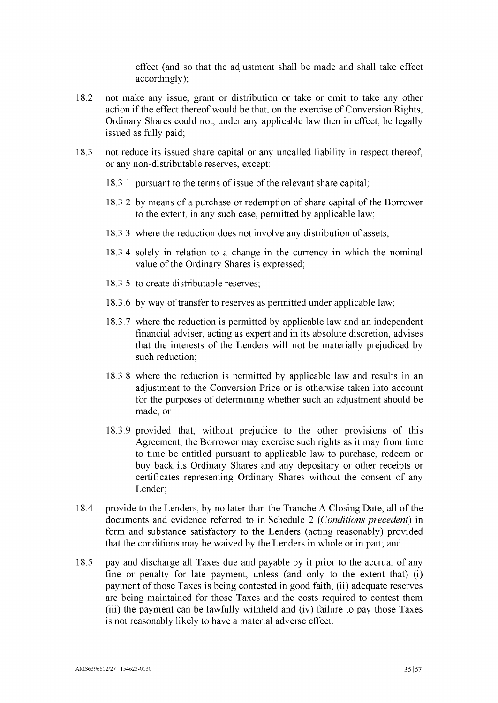effect (and so that the adjustment shall be made and shall take effect accordingly);

- 18.2 not make any issue, grant or distribution or take or omit to take any other action if the effect thereof would be that, on the exercise of Conversion Rights, Ordinary Shares could not, under any applicable law then in effect, be legally issued as fully paid;
- 18.3 not reduce its issued share capital or any uncalled liability in respect thereof, or any non-distributable reserves, except:
	- 18.3.1 pursuant to the terms of issue of the relevant share capital;
	- 18.3.2 by means of a purchase or redemption of share capital of the Borrower to the extent, in any such case, permitted by applicable law;
	- 18.3.3 where the reduction does not involve any distribution of assets;
	- 18.3.4 solely in relation to a change in the currency in which the nominal value of the Ordinary Shares is expressed;
	- 18.3.5 to create distributable reserves;
	- 18.3.6 by way of transfer to reserves as permitted under applicable law;
	- 18.3.7 where the reduction is permitted by applicable law and an independent financial adviser, acting as expert and in its absolute discretion, advises that the interests of the Lenders will not be materially prejudiced by such reduction;
	- 18.3.8 where the reduction is permitted by applicable law and results in an adjustment to the Conversion Price or is otherwise taken into account for the purposes of determining whether such an adjustment should be made, or
	- 18.3.9 provided that, without prejudice to the other provisions of this Agreement, the Borrower may exercise such rights as it may from time to time be entitled pursuant to applicable law to purchase, redeem or buy back its Ordinary Shares and any depositary or other receipts or certificates representing Ordinary Shares without the consent of any Lender;
- 18.4 provide to the Lenders, by no later than the Tranche A Closing Date, all of the documents and evidence referred to in [Schedule](#page-49-0) 2 *(Conditions precedent)* in form and substance satisfactory to the Lenders (acting reasonably) provided that the conditions may be waived by the Lenders in whole or in part; and
- 18.5 pay and discharge all Taxes due and payable by it prior to the accrual of any fine or penalty for late payment, unless (and only to the extent that) (i) payment of those Taxes is being contested in good faith, (ii) adequate reserves are being maintained for those Taxes and the costs required to contest them (iii) the payment can be lawfully withheld and (iv) failure to pay those Taxes is not reasonably likely to have a material adverse effect.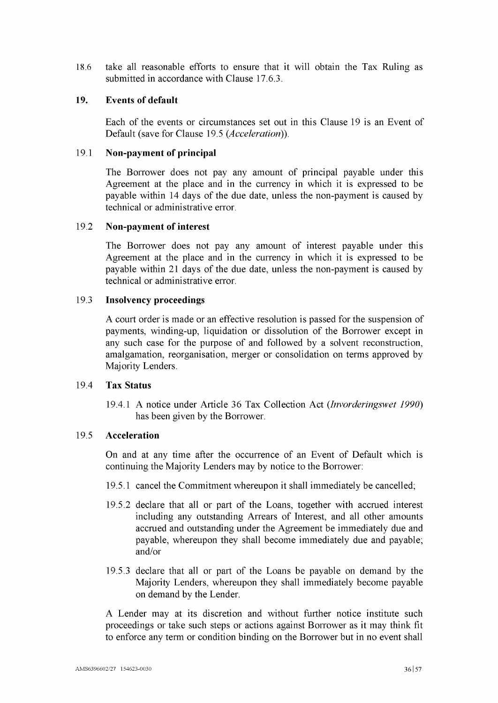18.6 take all reasonable efforts to ensure that it will obtain the Tax Ruling as submitted in accordance with Clause [17.6.3.](#page-34-5)

## <span id="page-38-0"></span>19. Events of default

Each of the events or circumstances set out in this Clause [19](#page-38-0) is an Event of Default (save for Clause [19.5](#page-38-1) *(Acceleration)).*

#### <span id="page-38-2"></span>19.1 Non-payment of principal

The Borrower does not pay any amount of principal payable under this Agreement at the place and in the currency in which it is expressed to be payable within 14 days of the due date, unless the non-payment is caused by technical or administrative error.

#### <span id="page-38-3"></span>19.2 Non-payment of interest

The Borrower does not pay any amount of interest payable under this Agreement at the place and in the currency in which it is expressed to be payable within 21 days of the due date, unless the non-payment is caused by technical or administrative error.

### 19.3 Insolvency proceedings

A court order is made or an effective resolution is passed for the suspension of payments, winding-up, liquidation or dissolution of the Borrower except in any such case for the purpose of and followed by a solvent reconstruction, amalgamation, reorganisation, merger or consolidation on terms approved by Majority Lenders.

#### 19.4 Tax Status

19.4.1 A notice under Article 36 Tax Collection Act *(Invorderingswet 1990)* has been given by the Borrower.

# <span id="page-38-1"></span>19.5 Acceleration

On and at any time after the occurrence of an Event of Default which is continuing the Majority Lenders may by notice to the Borrower:

- 19.5.1 cancel the Commitment whereupon it shall immediately be cancelled;
- 19.5.2 declare that all or part of the Loans, together with accrued interest including any outstanding Arrears of Interest, and all other amounts accrued and outstanding under the Agreement be immediately due and payable, whereupon they shall become immediately due and payable; and/or
- 19.5.3 declare that all or part of the Loans be payable on demand by the Majority Lenders, whereupon they shall immediately become payable on demand by the Lender.

A Lender may at its discretion and without further notice institute such proceedings or take such steps or actions against Borrower as it may think fit to enforce any term or condition binding on the Borrower but in no event shall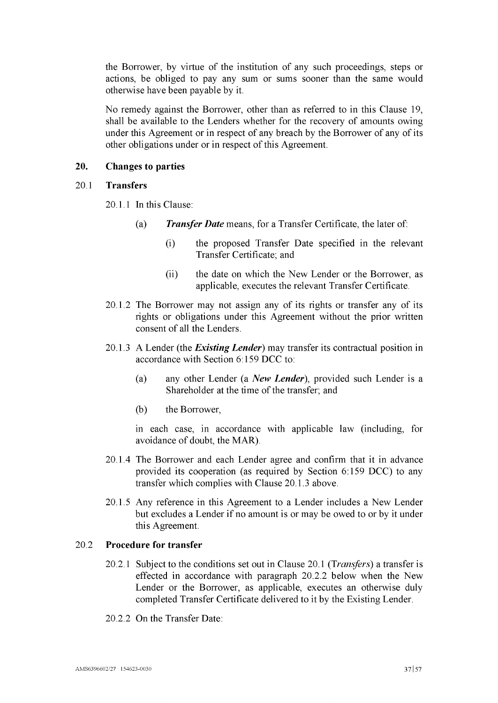the Borrower, by virtue of the institution of any such proceedings, steps or actions, be obliged to pay any sum or sums sooner than the same would otherwise have been payable by it.

No remedy against the Borrower, other than as referred to in this Clause [19,](#page-38-0) shall be available to the Lenders whether for the recovery of amounts owing under this Agreement or in respect of any breach by the Borrower of any of its other obligations under or in respect of this Agreement.

#### <span id="page-39-0"></span>**20. Changes to parties**

#### <span id="page-39-2"></span>20.1 **Transfers**

20.1.1 In this Clause:

- (a) *Transfer Date* means, for a Transfer Certificate, the later of:
	- (i) the proposed Transfer Date specified in the relevant Transfer Certificate; and
	- (ii) the date on which the New Lender or the Borrower, as applicable, executes the relevant Transfer Certificate.
- 20.1.2 The Borrower may not assign any of its rights or transfer any of its rights or obligations under this Agreement without the prior written consent of all the Lenders.
- <span id="page-39-4"></span><span id="page-39-1"></span>20.1.3 A Lender (the *Existing Lender)* may transfer its contractual position in accordance with Section 6:159 DCC to:
	- (a) any other Lender (a *New Lender),* provided such Lender is a Shareholder at the time of the transfer; and
	- (b) the Borrower,

in each case, in accordance with applicable law (including, for avoidance of doubt, the MAR).

- 20.1.4 The Borrower and each Lender agree and confirm that it in advance provided its cooperation (as required by Section 6:159 DCC) to any transfer which complies with Clause [20.1.3](#page-39-1) above.
- 20.1.5 Any reference in this Agreement to a Lender includes a New Lender but excludes a Lender if no amount is or may be owed to or by it under this Agreement.

# 20.2 **Procedure for transfer**

- 20.2.1 Subject to the conditions set out in Clause [20.1](#page-39-2) *(Transfers)* a transfer is effected in accordance with paragraph [20.2.2](#page-39-3) below when the New Lender or the Borrower, as applicable, executes an otherwise duly completed Transfer Certificate delivered to it by the Existing Lender.
- <span id="page-39-3"></span>20.2.2 On the Transfer Date: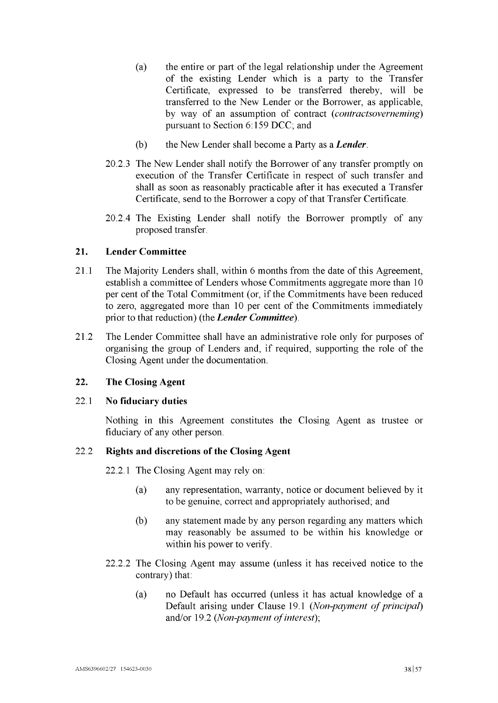- (a) the entire or part of the legal relationship under the Agreement of the existing Lender which is a party to the Transfer Certificate, expressed to be transferred thereby, will be transferred to the New Lender or the Borrower, as applicable, by way of an assumption of contract *(contractsoverneming)* pursuant to Section 6:159 DCC; and
- (b) the New Lender shall become a Party as a *Lender.*
- 20.2.3 The New Lender shall notify the Borrower of any transfer promptly on execution of the Transfer Certificate in respect of such transfer and shall as soon as reasonably practicable after it has executed a Transfer Certificate, send to the Borrower a copy of that Transfer Certificate.
- 20.2.4 The Existing Lender shall notify the Borrower promptly of any proposed transfer.

# <span id="page-40-0"></span>**21. Lender Committee**

- 21.1 The Majority Lenders shall, within 6 months from the date of this Agreement, establish a committee of Lenders whose Commitments aggregate more than 10 per cent of the Total Commitment (or, if the Commitments have been reduced to zero, aggregated more than 10 per cent of the Commitments immediately prior to that reduction) (the *Lender Committee).*
- 21.2 The Lender Committee shall have an administrative role only for purposes of organising the group of Lenders and, if required, supporting the role of the Closing Agent under the documentation.

# <span id="page-40-1"></span>**22. The Closing Agent**

# 22.1 **No fiduciary duties**

Nothing in this Agreement constitutes the Closing Agent as trustee or fiduciary of any other person.

# 22.2 **Rights and discretions of the Closing Agent**

22.2.1 The Closing Agent may rely on:

- (a) any representation, warranty, notice or document believed by it to be genuine, correct and appropriately authorised; and
- (b) any statement made by any person regarding any matters which may reasonably be assumed to be within his knowledge or within his power to verify.
- 22.2.2 The Closing Agent may assume (unless it has received notice to the contrary) that:
	- (a) no Default has occurred (unless it has actual knowledge of a Default arising under Clause [19.1](#page-38-2) *(Non-payment of principal)* and/or [19.2](#page-38-3) *(Non-payment of interest)*;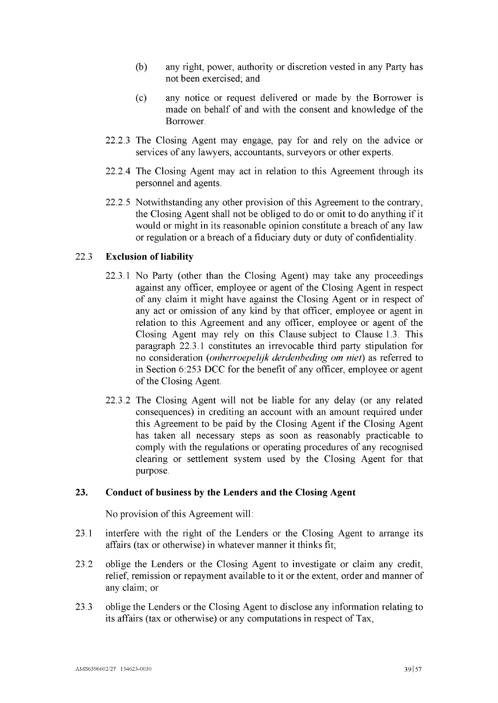- (b) any right, power, authority or discretion vested in any Party has not been exercised; and
- (c) any notice or request delivered or made by the Borrower is made on behalf of and with the consent and knowledge of the Borrower.
- 22.2.3 The Closing Agent may engage, pay for and rely on the advice or services of any lawyers, accountants, surveyors or other experts.
- 22.2.4 The Closing Agent may act in relation to this Agreement through its personnel and agents.
- 22.2.5 Notwithstanding any other provision of this Agreement to the contrary, the Closing Agent shall not be obliged to do or omit to do anything if it would or might in its reasonable opinion constitute a breach of any law or regulation or a breach of a fiduciary duty or duty of confidentiality.

#### <span id="page-41-1"></span>22.3 **Exclusion of liability**

- 22.3.1 No Party (other than the Closing Agent) may take any proceedings against any officer, employee or agent of the Closing Agent in respect of any claim it might have against the Closing Agent or in respect of any act or omission of any kind by that officer, employee or agent in relation to this Agreement and any officer, employee or agent of the Closing Agent may rely on this Clause subject to Clause [1.3.](#page-17-2) This paragraph [22.3.1](#page-41-1) constitutes an irrevocable third party stipulation for no consideration *(onherroepelijk derdenbeding om niet)* as referred to in Section 6:253 DCC for the benefit of any officer, employee or agent of the Closing Agent.
- 22.3.2 The Closing Agent will not be liable for any delay (or any related consequences) in crediting an account with an amount required under this Agreement to be paid by the Closing Agent if the Closing Agent has taken all necessary steps as soon as reasonably practicable to comply with the regulations or operating procedures of any recognised clearing or settlement system used by the Closing Agent for that purpose.

# <span id="page-41-0"></span>**23. Conduct of business by the Lenders and the Closing Agent**

No provision of this Agreement will:

- 23.1 interfere with the right of the Lenders or the Closing Agent to arrange its affairs (tax or otherwise) in whatever manner it thinks fit;
- 23.2 oblige the Lenders or the Closing Agent to investigate or claim any credit, relief, remission or repayment available to it or the extent, order and manner of any claim; or
- 23.3 oblige the Lenders or the Closing Agent to disclose any information relating to its affairs (tax or otherwise) or any computations in respect of Tax,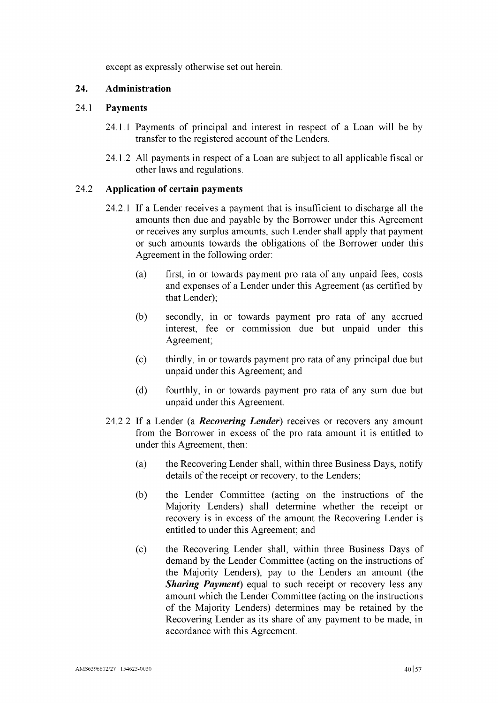except as expressly otherwise set out herein.

# <span id="page-42-0"></span>24. Administration

# 24.1 Payments

- 24.1.1 Payments of principal and interest in respect of a Loan will be by transfer to the registered account of the Lenders.
- 24.1.2 All payments in respect of a Loan are subject to all applicable fiscal or other laws and regulations.

# 24.2 Application of certain payments

- 24.2.1 If a Lender receives a payment that is insufficient to discharge all the amounts then due and payable by the Borrower under this Agreement or receives any surplus amounts, such Lender shall apply that payment or such amounts towards the obligations of the Borrower under this Agreement in the following order:
	- (a) first, in or towards payment pro rata of any unpaid fees, costs and expenses of a Lender under this Agreement (as certified by that Lender);
	- (b) secondly, in or towards payment pro rata of any accrued interest, fee or commission due but unpaid under this Agreement;
	- (c) thirdly, in or towards payment pro rata of any principal due but unpaid under this Agreement; and
	- (d) fourthly, in or towards payment pro rata of any sum due but unpaid under this Agreement.
- 24.2.2 If a Lender (a *Recovering Lender)* receives or recovers any amount from the Borrower in excess of the pro rata amount it is entitled to under this Agreement, then:
	- (a) the Recovering Lender shall, within three Business Days, notify details of the receipt or recovery, to the Lenders;
	- (b) the Lender Committee (acting on the instructions of the Majority Lenders) shall determine whether the receipt or recovery is in excess of the amount the Recovering Lender is entitled to under this Agreement; and
	- (c) the Recovering Lender shall, within three Business Days of demand by the Lender Committee (acting on the instructions of the Majority Lenders), pay to the Lenders an amount (the *Sharing Payment*) equal to such receipt or recovery less any amount which the Lender Committee (acting on the instructions of the Majority Lenders) determines may be retained by the Recovering Lender as its share of any payment to be made, in accordance with this Agreement.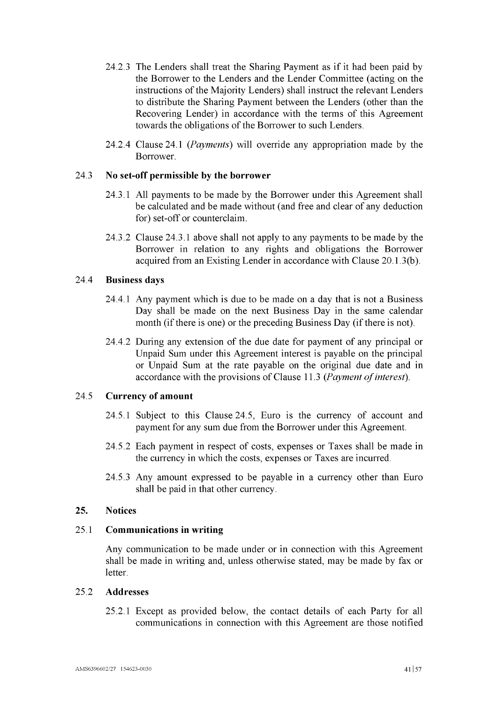- 24.2.3 The Lenders shall treat the Sharing Payment as if it had been paid by the Borrower to the Lenders and the Lender Committee (acting on the instructions of the Majority Lenders) shall instruct the relevant Lenders to distribute the Sharing Payment between the Lenders (other than the Recovering Lender) in accordance with the terms of this Agreement towards the obligations of the Borrower to such Lenders.
- 24.2.4 Clause [24.1](#page-42-0) *(Payments)* will override any appropriation made by the Borrower.

# <span id="page-43-1"></span>24.3 No set-off permissible by the borrower

- 24.3.1 All payments to be made by the Borrower under this Agreement shall be calculated and be made without (and free and clear of any deduction for) set-off or counterclaim.
- 24.3.2 Clause [24.3.1](#page-43-1) above shall not apply to any payments to be made by the Borrower in relation to any rights and obligations the Borrower acquired from an Existing Lender in accordance with Clause [20.1.3\(b\).](#page-39-4)

# 24.4 Business days

- 24.4.1 Any payment which is due to be made on a day that is not a Business Day shall be made on the next Business Day in the same calendar month (if there is one) or the preceding Business Day (if there is not).
- 24.4.2 During any extension of the due date for payment of any principal or Unpaid Sum under this Agreement interest is payable on the principal or Unpaid Sum at the rate payable on the original due date and in accordance with the provisions of Clause [11.3](#page-24-3) *(Payment of interest)*.

# <span id="page-43-2"></span>24.5 Currency of amount

- 24.5.1 Subject to this Clause [24.5,](#page-43-2) Euro is the currency of account and payment for any sum due from the Borrower under this Agreement.
- 24.5.2 Each payment in respect of costs, expenses or Taxes shall be made in the currency in which the costs, expenses or Taxes are incurred.
- 24.5.3 Any amount expressed to be payable in a currency other than Euro shall be paid in that other currency.

# <span id="page-43-0"></span>25. Notices

# 25.1 Communications in writing

Any communication to be made under or in connection with this Agreement shall be made in writing and, unless otherwise stated, may be made by fax or letter.

#### <span id="page-43-3"></span>25.2 Addresses

25.2.1 Except as provided below, the contact details of each Party for all communications in connection with this Agreement are those notified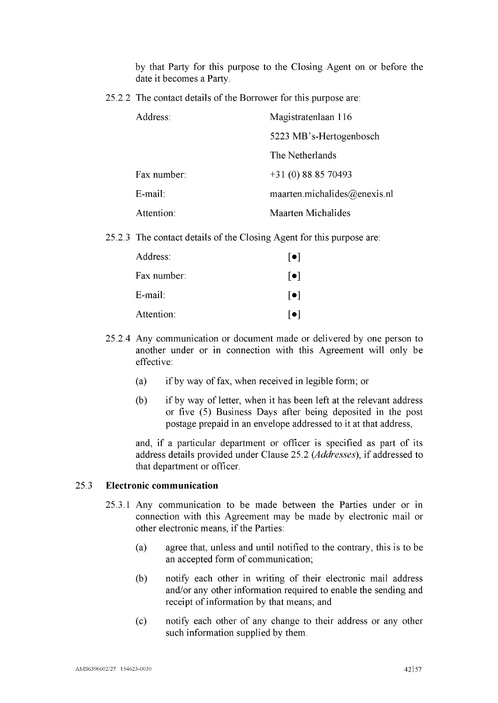by that Party for this purpose to the Closing Agent on or before the date it becomes a Party.

25.2.2 The contact details of the Borrower for this purpose are:

| Address:    | Magistratenlaan 116          |
|-------------|------------------------------|
|             | 5223 MB's-Hertogenbosch      |
|             | The Netherlands              |
| Fax number: | $+31(0)888570493$            |
| E-mail:     | maarten.michalides@enexis.nl |
| Attention:  | <b>Maarten Michalides</b>    |

25.2.3 The contact details of the Closing Agent for this purpose are:

| Address:    | $\lceil \bullet \rceil$ |
|-------------|-------------------------|
| Fax number: | $\lceil \bullet \rceil$ |
| $E$ -mail:  | $\lceil \bullet \rceil$ |
| Attention:  | $\lceil \bullet \rceil$ |

- 25.2.4 Any communication or document made or delivered by one person to another under or in connection with this Agreement will only be effective:
	- (a) ifby way offax, when received in legible form; or
	- (b) if by way of letter, when it has been left at the relevant address or five (5) Business Days after being deposited in the post postage prepaid in an envelope addressed to it at that address,

and, if a particular department or officer is specified as part of its address details provided under Clause [25.2](#page-43-3) *(Addresses),* if addressed to that department or officer.

# 25.3 **Electronic communication**

- 25.3.1 Any communication to be made between the Parties under or in connection with this Agreement may be made by electronic mail or other electronic means, if the Parties:
	- (a) agree that, unless and until notified to the contrary, this is to be an accepted form of communication;
	- (b) notify each other in writing of their electronic mail address and/or any other information required to enable the sending and receipt of information by that means; and
	- (c) notify each other of any change to their address or any other such information supplied by them.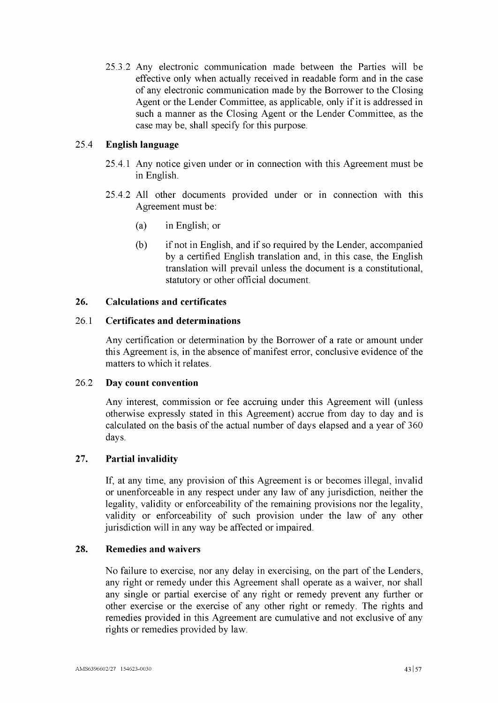25.3.2 Any electronic communication made between the Parties will be effective only when actually received in readable form and in the case of any electronic communication made by the Borrower to the Closing Agent or the Lender Committee, as applicable, only if it is addressed in such a manner as the Closing Agent or the Lender Committee, as the case may be, shall specify for this purpose.

# 25.4 **English language**

- 25.4.1 Any notice given under or in connection with this Agreement must be in English.
- 25.4.2 All other documents provided under or in connection with this Agreement must be:
	- (a) in English; or
	- $(b)$  if not in English, and if so required by the Lender, accompanied by a certified English translation and, in this case, the English translation will prevail unless the document is a constitutional, statutory or other official document.

# <span id="page-45-0"></span>**26. Calculations and certificates**

# 26.1 **Certificates and determinations**

Any certification or determination by the Borrower of a rate or amount under this Agreement is, in the absence of manifest error, conclusive evidence of the matters to which it relates.

# 26.2 **Day count convention**

Any interest, commission or fee accruing under this Agreement will (unless otherwise expressly stated in this Agreement) accrue from day to day and is calculated on the basis of the actual number of days elapsed and a year of 360 days.

# <span id="page-45-1"></span>**27. Partial invalidity**

If, at any time, any provision of this Agreement is or becomes illegal, invalid or unenforceable in any respect under any law of any jurisdiction, neither the legality, validity or enforceability of the remaining provisions nor the legality, validity or enforceability of such provision under the law of any other jurisdiction will in any way be affected or impaired.

# <span id="page-45-2"></span>**28. Remedies and waivers**

No failure to exercise, nor any delay in exercising, on the part of the Lenders, any right or remedy under this Agreement shall operate as a waiver, nor shall any single or partial exercise of any right or remedy prevent any further or other exercise or the exercise of any other right or remedy. The rights and remedies provided in this Agreement are cumulative and not exclusive of any rights or remedies provided by law.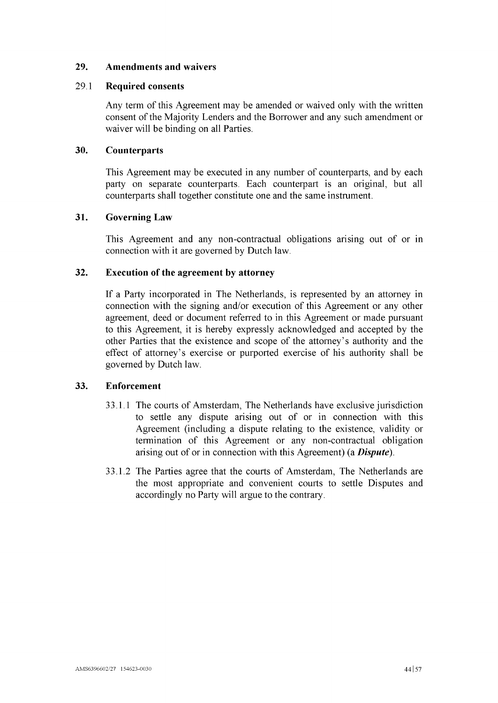# <span id="page-46-0"></span>**29. Amendments and waivers**

## 29.1 **Required consents**

Any term of this Agreement may be amended or waived only with the written consent of the Majority Lenders and the Borrower and any such amendment or waiver will be binding on all Parties.

# <span id="page-46-1"></span>**30. Counterparts**

This Agreement may be executed in any number of counterparts, and by each party on separate counterparts. Each counterpart is an original, but all counterparts shall together constitute one and the same instrument.

# <span id="page-46-2"></span>**31. Governing Law**

This Agreement and any non-contractual obligations arising out of or in connection with it are governed by Dutch law.

# <span id="page-46-3"></span>**32. Execution of the agreement by attorney**

If a Party incorporated in The Netherlands, is represented by an attorney in connection with the signing and/or execution of this Agreement or any other agreement, deed or document referred to in this Agreement or made pursuant to this Agreement, it is hereby expressly acknowledged and accepted by the other Parties that the existence and scope of the attorney's authority and the effect of attorney's exercise or purported exercise of his authority shall be governed by Dutch law.

# <span id="page-46-4"></span>**33. Enforcement**

- 33.1.1 The courts of Amsterdam, The Netherlands have exclusive jurisdiction to settle any dispute arising out of or in connection with this Agreement (including a dispute relating to the existence, validity or termination of this Agreement or any non-contractual obligation arising out of or in connection with this Agreement) (a *Dispute).*
- 33.1.2 The Parties agree that the courts of Amsterdam, The Netherlands are the most appropriate and convenient courts to settle Disputes and accordingly no Party will argue to the contrary.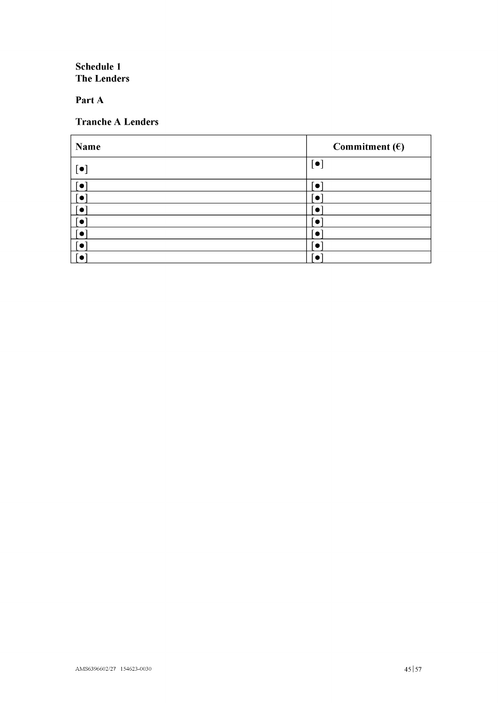<span id="page-47-1"></span>**Schedule <sup>1</sup> The Lenders**

<span id="page-47-0"></span>**Part A**

# **Tranche A Lenders**

| Name                    | Commitment $(\epsilon)$ |
|-------------------------|-------------------------|
| $[\bullet]$             | $\lceil \bullet \rceil$ |
| $\lceil \bullet \rceil$ | $\bullet$               |
|                         | $\bullet$               |
|                         | $\bullet$               |
|                         | `o                      |
|                         | $\bullet$               |
|                         | $\bullet$               |
|                         |                         |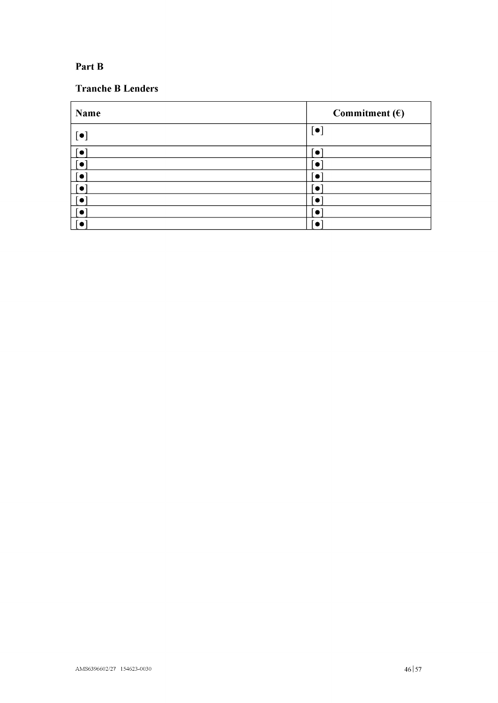# <span id="page-48-0"></span>**Part B**

# **Tranche B Lenders**

| <b>Name</b> | Commitment $(\epsilon)$ |
|-------------|-------------------------|
|             | $\lceil \bullet \rceil$ |
|             |                         |
|             |                         |
|             |                         |
|             |                         |
|             |                         |
|             |                         |
|             |                         |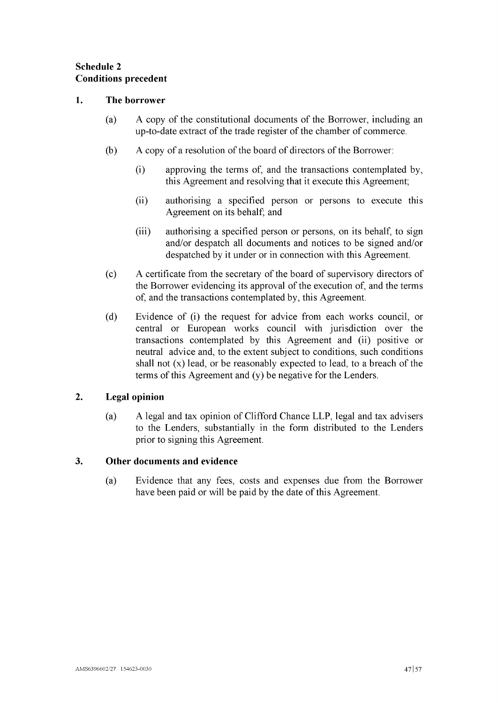# <span id="page-49-0"></span>**Schedule 2 Conditions precedent**

# **1. The borrower**

- (a) A copy of the constitutional documents of the Borrower, including an up-to-date extract of the trade register of the chamber of commerce.
- (b) A copy of a resolution of the board of directors of the Borrower:
	- (i) approving the terms of, and the transactions contemplated by, this Agreement and resolving that it execute this Agreement;
	- (ii) authorising a specified person or persons to execute this Agreement on its behalf; and
	- (iii) authorising a specified person or persons, on its behalf, to sign and/or despatch all documents and notices to be signed and/or despatched by it under or in connection with this Agreement.
- $(c)$  A certificate from the secretary of the board of supervisory directors of the Borrower evidencing its approval of the execution of, and the terms of, and the transactions contemplated by, this Agreement.
- (d) Evidence of (i) the request for advice from each works council, or central or European works council with jurisdiction over the transactions contemplated by this Agreement and (ii) positive or neutral advice and, to the extent subject to conditions, such conditions shall not  $(x)$  lead, or be reasonably expected to lead, to a breach of the terms of this Agreement and  $(y)$  be negative for the Lenders.

# **2. Legal opinion**

(a) A legal and tax opinion of Clifford Chance LLP, legal and tax advisers to the Lenders, substantially in the form distributed to the Lenders prior to signing this Agreement.

# **3. Other documents and evidence**

(a) Evidence that any fees, costs and expenses due from the Borrower have been paid or will be paid by the date of this Agreement.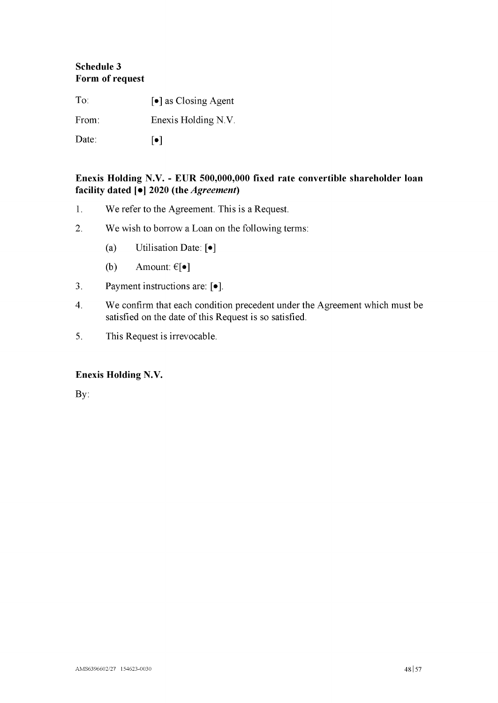# <span id="page-50-0"></span>**Schedule 3 Form of request**

To:  $\begin{bmatrix} \bullet \end{bmatrix}$  as Closing Agent From: Enexis Holding N.V. Date:  $\lbrack \bullet \rbrack$ 

# **Enexis Holding N.V. - EUR 500,000,000 fixed rate convertible shareholder loan facility dated [•I 2020 (the** *Agreement)*

- 1. We refer to the Agreement. This is a Request.
- 2. We wish to borrow a Loan on the following terms:
	- (a) Utilisation Date: [•ļ
	- (b) Amount:  $\epsilon[\bullet]$
- 3. Payment instructions are: [ $\bullet$ ].
- 4. We confirm that each condition precedent under the Agreement which must be satisfied on the date of this Request is so satisfied.
- 5. This Request is irrevocable.

# **Enexis Holding N.V.**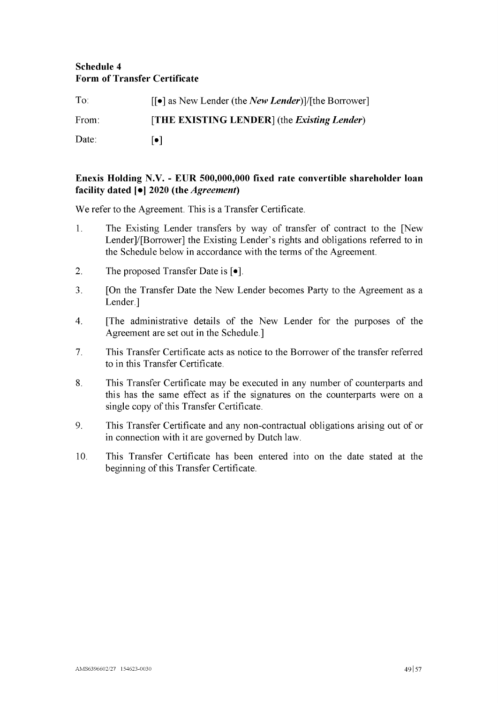# <span id="page-51-0"></span>**Schedule 4 Form of Transfer Certificate**

| $To^{\ldots}$ | $\lceil \cdot \rceil$ as New Lender (the <i>New Lender</i> )]/[the Borrower] |
|---------------|------------------------------------------------------------------------------|
| From:         | [THE EXISTING LENDER] (the <i>Existing Lender</i> )                          |
| Date:         | l o I                                                                        |

# **Enexis Holding N.V. - EUR 500,000,000 fixed rate convertible shareholder loan facility dated [•I 2020 (the** *Agreement)*

**We refer to the Agreement. This is a Transfer Certificate.**

- **1. The Existing Lender transfers by way of transfer of contract to the [New Lenderj/porrower] the Existing Lender's rights and obligations referred to in the Schedule below in accordance with the terms ofthe Agreement.**
- **2. The proposed Transfer Date is [•ļ.**
- **3. [On the Transfer Date the New Lender becomes Party to the Agreement as a Lender.]**
- **4. [The administrative details of the New Lender for the purposes of the Agreement are set out in the Schedule.]**
- **7. This Transfer Certificate acts as notice to the Borrower ofthe transfer referred to in this Transfer Certificate.**
- **8. This Transfer Certificate may be executed in any number of counterparts and this has the same effect as if the signatures on the counterparts were on <sup>a</sup>**  $single copy of this Transfer Certificance.$
- **9. This Transfer Certificate and any non-contractual obligations arising out of or in connection with it are governed by Dutch law.**
- **10. This Transfer Certificate has been entered into on the date stated at the beginning** of this Transfer Certificate.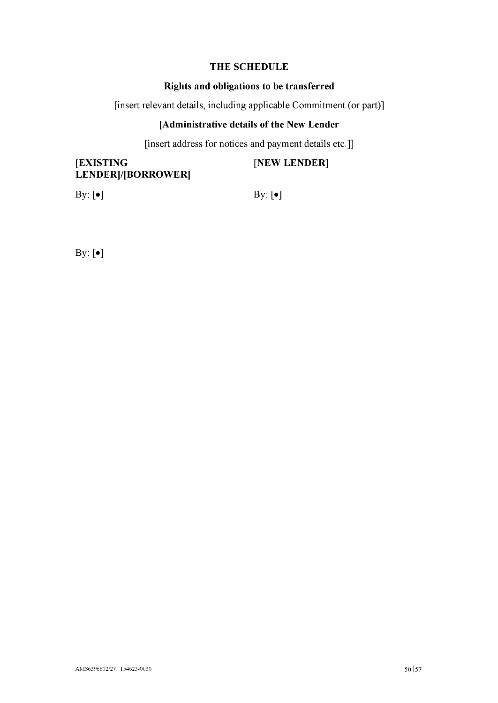# **THE SCHEDULE**

# **Rights and obligations to be transferred**

[insert relevant details, including applicable Commitment (or part)]

# **[Administrative details of the New Lender**

[insert address for notices and payment details etc.]]

[**EXISTING** [**NEW LENDER**] LENDER]/[BORROWER]

By:  $\lbrack \bullet \rbrack$  By:  $\lbrack \bullet \rbrack$ 

By: [•]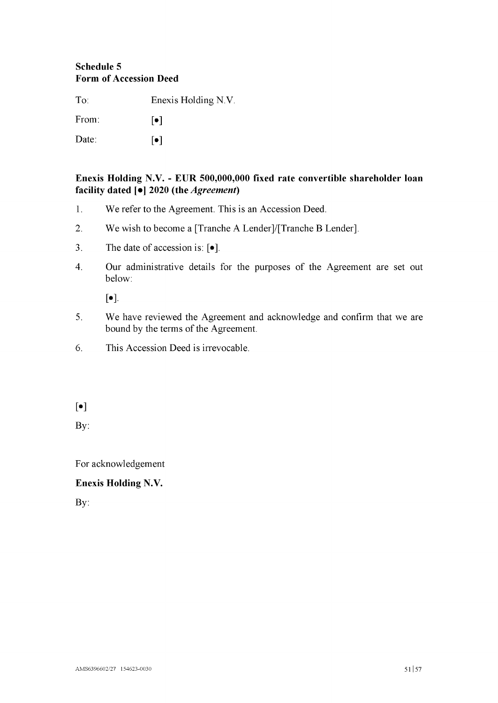# <span id="page-53-0"></span>**Schedule 5 Form of Accession Deed**

To: Enexis Holding N.V. From:  $\lceil \bullet \rceil$ Date:  $\lceil \bullet \rceil$ 

**Enexis Holding N.V. - EUR 500,000,000 fixed rate convertible shareholder loan facility dated [•I 2020 (the** *Agreement)*

- 1. We refer to the Agreement. This is an Accession Deed.
- 2. We wish to become a [Tranche A Lender]/[Tranche B Lender].
- 3. The date of accession is:  $[e]$ .
- 4. Our administrative details for the purposes of the Agreement are set out below:

[•].

- 5. We have reviewed the Agreement and acknowledge and confirm that we are bound by the terms of the Agreement.
- 6. This Accession Deed is irrevocable.

[•]

By:

For acknowledgement

# **Enexis Holding N.V.**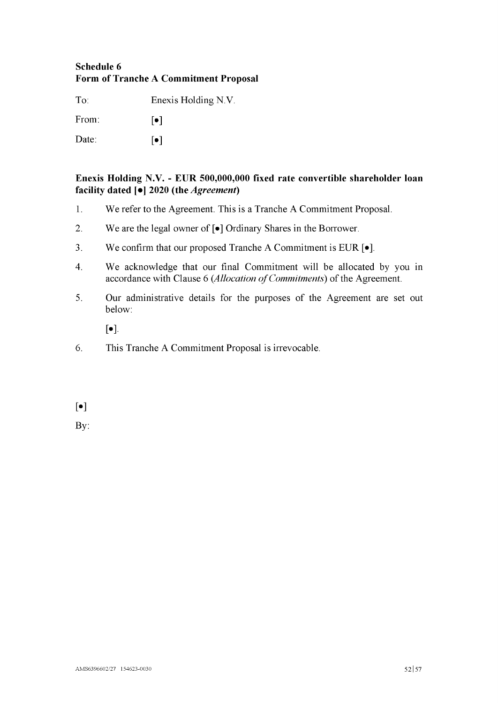# <span id="page-54-0"></span>**Schedule 6 Form of Tranche A Commitment Proposal**

To: Enexis Holding N.V.

From:  $\lceil \bullet \rceil$ 

Date: [•]

# **Enexis Holding N.V. - EUR 500,000,000 fixed rate convertible shareholder loan facility dated [•I 2020 (the** *Agreement)*

- 1. We refer to the Agreement. This is a Tranche A Commitment Proposal.
- 2. We are the legal owner of  $\lceil \bullet \rceil$  Ordinary Shares in the Borrower.
- 3. We confirm that our proposed Tranche A Commitment is EUR  $\lceil \bullet \rceil$ .
- 4. We acknowledge that our final Commitment will be allocated by you in accordance with Clause [6](#page-18-3) (Allocation of Commitments) of the Agreement.
- 5. Our administrative details for the purposes of the Agreement are set out below:

 $\lceil \bullet \rceil$ .

6. This Tranche A Commitment Proposal is irrevocable.

 $\lceil \bullet \rceil$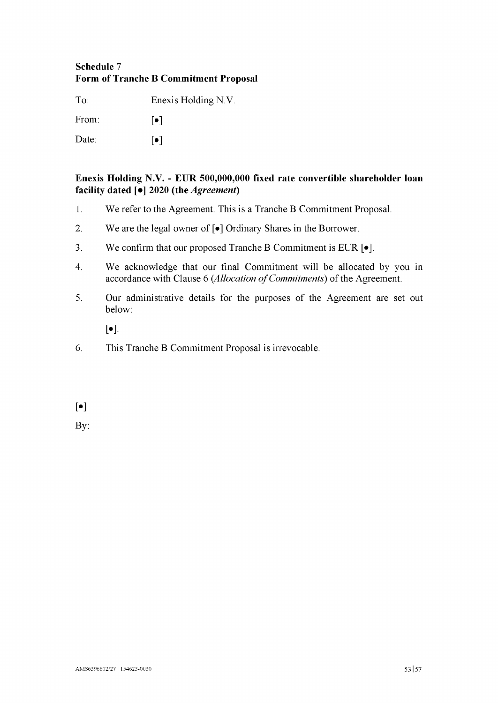# <span id="page-55-0"></span>**Schedule 7 Form of Tranche B Commitment Proposal**

To: Enexis Holding N.V.

From:  $\lceil \bullet \rceil$ 

Date: [•]

# **Enexis Holding N.V. - EUR 500,000,000 fixed rate convertible shareholder loan facility dated [•I 2020 (the** *Agreement)*

- 1. We refer to the Agreement. This is a Tranche B Commitment Proposal.
- 2. We are the legal owner of  $\lceil \bullet \rceil$  Ordinary Shares in the Borrower.
- 3. We confirm that our proposed Tranche B Commitment is EUR  $\lceil \bullet \rceil$ .
- 4. We acknowledge that our final Commitment will be allocated by you in accordance with Clause [6](#page-18-3) (Allocation of Commitments) of the Agreement.
- 5. Our administrative details for the purposes of the Agreement are set out below:

 $\lceil \bullet \rceil$ .

6. This Tranche B Commitment Proposal is irrevocable.

 $\lceil \bullet \rceil$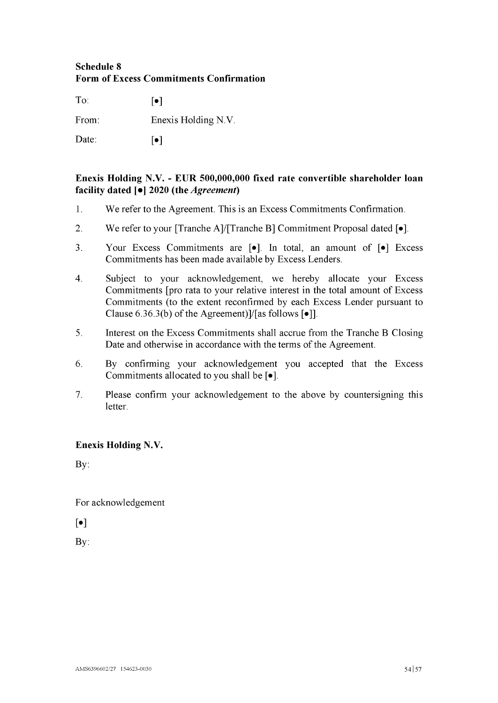# <span id="page-56-0"></span>**Schedule 8 Form of Excess Commitments Confirmation**

To:  $\lceil \bullet \rceil$ From: Enexis Holding N.V. Date: [•]

# **Enexis Holding N.V. - EUR 500,000,000 fixed rate convertible shareholder loan facility dated [•I 2020 (the** *Agreement)*

- 1. We refer to the Agreement. This is an Excess Commitments Confirmation.
- 2. We refer to your [Tranche A]/[Tranche B] Commitment Proposal dated  $[•]$ .
- 3. Your Excess Commitments are [•j. In total, an amount of [•j Excess Commitments has been made available by Excess Lenders.
- 4. Subject to your acknowledgement, we hereby allocate your Excess Commitments [pro rata to your relative interest in the total amount of Excess Commitments (to the extent reconfirmed by each Excess Lender pursuant to Clause [6.](#page-19-2)[36.3\(b\)](#page-20-1) of the Agreement)]/[as follows  $\lceil \bullet \rceil$ ].
- 5. Interest on the Excess Commitments shall accrue from the Tranche B Closing Date and otherwise in accordance with the terms of the Agreement.
- 6. By confirming your acknowledgement you accepted that the Excess Commitments allocated to you shall be  $[•]$ .
- 7. Please confirm your acknowledgement to the above by countersigning this letter.

# **Enexis Holding N.V.**

By:

For acknowledgement

 $\lceil \bullet \rceil$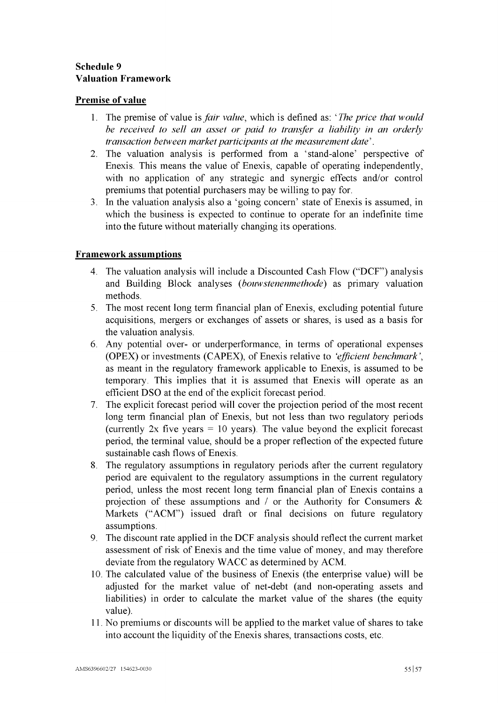# <span id="page-57-0"></span>**Schedule 9 Valuation Framework**

# **Premise of value**

- 1. The premise of value is*fair value,* which is defined as: ' *The price that would be received to sell an asset or paid to transfer a liability in an orderly transaction between market participants at the measurement date'.*
- 2. The valuation analysis is performed from a 'stand-alone' perspective of Enexis. This means the value of Enexis, capable of operating independently, with no application of any strategic and synergic effects and/or control premiums that potential purchasers may be willing to pay for.
- 3. In the valuation analysis also a 'going concern' state of Enexis is assumed, in which the business is expected to continue to operate for an indefinite time into the future without materially changing its operations.

# **Framework assumptions**

- 4. The valuation analysis will include a Discounted Cash Flow ("DCF") analysis and Building Block analyses (*bouwstenenmethode*) as primary valuation methods.
- 5. The most recent long term financial plan of Enexis, excluding potential future acquisitions, mergers or exchanges of assets or shares, is used as a basis for the valuation analysis.
- 6. Any potential over- or underperformance, in terms of operational expenses (OPEX) or investments (CAPEX), of Enexis relative to *'efficient benchmark',* as meant in the regulatory framework applicable to Enexis, is assumed to be temporary. This implies that it is assumed that Enexis will operate as an efficient DSO at the end of the explicit forecast period.
- 7. The explicit forecast period will cover the projection period of the most recent long term financial plan of Enexis, but not less than two regulatory periods (currently  $2x$  five years = 10 years). The value beyond the explicit forecast period, the terminal value, should be a proper reflection of the expected future sustainable cash flows of Enexis.
- 8. The regulatory assumptions in regulatory periods after the current regulatory period are equivalent to the regulatory assumptions in the current regulatory period, unless the most recent long term financial plan of Enexis contains a projection of these assumptions and / or the Authority for Consumers  $\&$ Markets ("ACM") issued draft or final decisions on future regulatory assumptions.
- 9. The discount rate applied in the DCF analysis should reflect the current market assessment of risk of Enexis and the time value of money, and may therefore deviate from the regulatory WACC as determined by ACM.
- 10. The calculated value of the business of Enexis (the enterprise value) will be adjusted for the market value of net-debt (and non-operating assets and liabilities) in order to calculate the market value of the shares (the equity value).
- 11. No premiums or discounts will be applied to the market value of shares to take into account the liquidity of the Enexis shares, transactions costs, etc.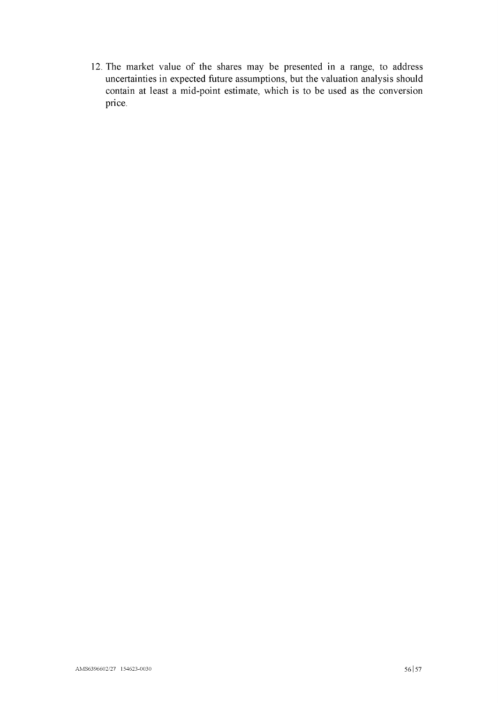12. The market value of the shares may be presented in a range, to address uncertainties in expected future assumptions, but the valuation analysis should contain at least a mid-point estimate, which is to be used as the conversion price.